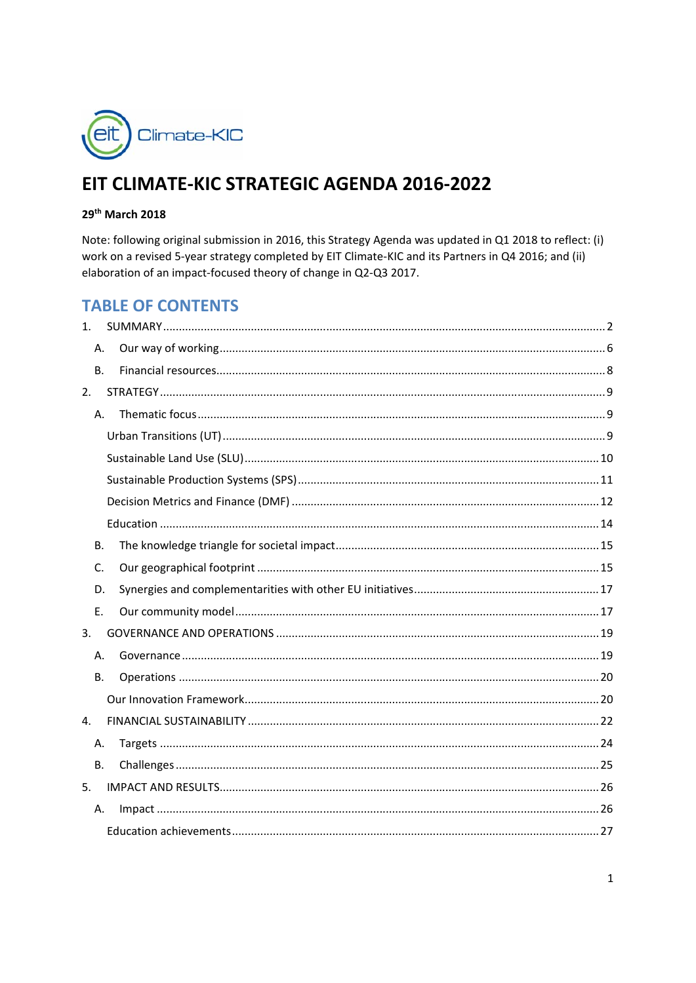

# EIT CLIMATE-KIC STRATEGIC AGENDA 2016-2022

### 29th March 2018

Note: following original submission in 2016, this Strategy Agenda was updated in Q1 2018 to reflect: (i) work on a revised 5-year strategy completed by EIT Climate-KIC and its Partners in Q4 2016; and (ii) elaboration of an impact-focused theory of change in Q2-Q3 2017.

## **TABLE OF CONTENTS**

| 1 <sub>1</sub> |    |  |
|----------------|----|--|
| Α.             |    |  |
| <b>B.</b>      |    |  |
| 2.             |    |  |
|                | Α. |  |
|                |    |  |
|                |    |  |
|                |    |  |
|                |    |  |
|                |    |  |
| <b>B.</b>      |    |  |
| C.             |    |  |
| D.             |    |  |
| Ε.             |    |  |
| 3.             |    |  |
| Α.             |    |  |
| В.             |    |  |
|                |    |  |
| $\mathbf{4}$ . |    |  |
| Α.             |    |  |
| В.             |    |  |
| 5.             |    |  |
| Α.             |    |  |
|                |    |  |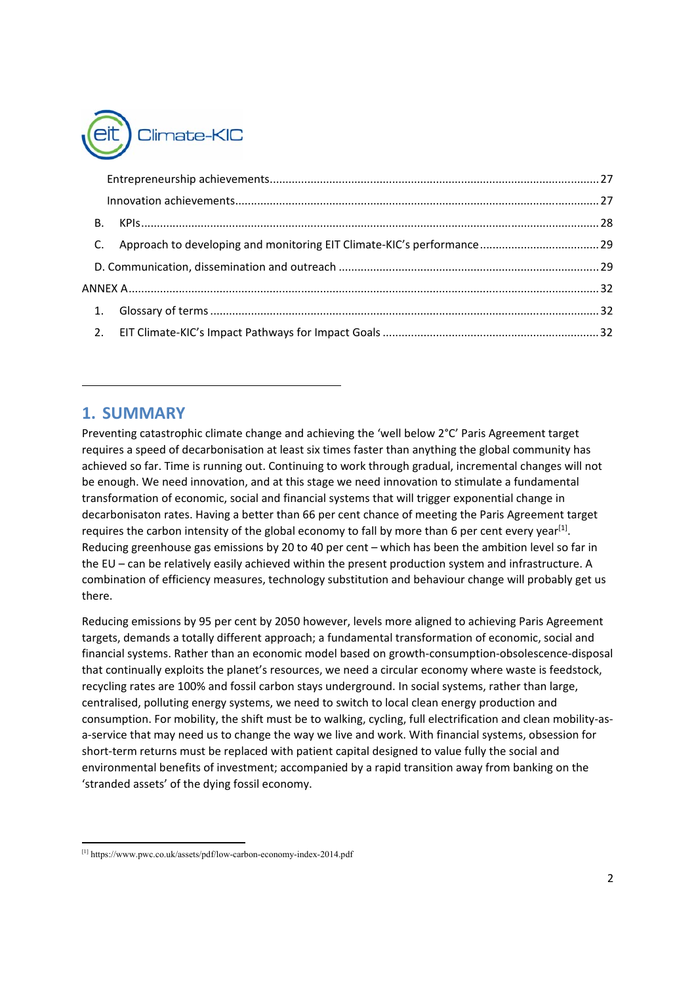

## **1. SUMMARY**

Preventing catastrophic climate change and achieving the 'well below 2°C' Paris Agreement target requires a speed of decarbonisation at least six times faster than anything the global community has achieved so far. Time is running out. Continuing to work through gradual, incremental changes will not be enough. We need innovation, and at this stage we need innovation to stimulate a fundamental transformation of economic, social and financial systems that will trigger exponential change in decarbonisaton rates. Having a better than 66 per cent chance of meeting the Paris Agreement target requires the carbon intensity of the global economy to fall by more than 6 per cent every year<sup>[1]</sup>. Reducing greenhouse gas emissions by 20 to 40 per cent – which has been the ambition level so far in the EU – can be relatively easily achieved within the present production system and infrastructure. A combination of efficiency measures, technology substitution and behaviour change will probably get us there.

Reducing emissions by 95 per cent by 2050 however, levels more aligned to achieving Paris Agreement targets, demands a totally different approach; a fundamental transformation of economic, social and financial systems. Rather than an economic model based on growth‐consumption‐obsolescence‐disposal that continually exploits the planet's resources, we need a circular economy where waste is feedstock, recycling rates are 100% and fossil carbon stays underground. In social systems, rather than large, centralised, polluting energy systems, we need to switch to local clean energy production and consumption. For mobility, the shift must be to walking, cycling, full electrification and clean mobility-asa-service that may need us to change the way we live and work. With financial systems, obsession for short-term returns must be replaced with patient capital designed to value fully the social and environmental benefits of investment; accompanied by a rapid transition away from banking on the 'stranded assets' of the dying fossil economy.

 [1] https://www.pwc.co.uk/assets/pdf/low-carbon-economy-index-2014.pdf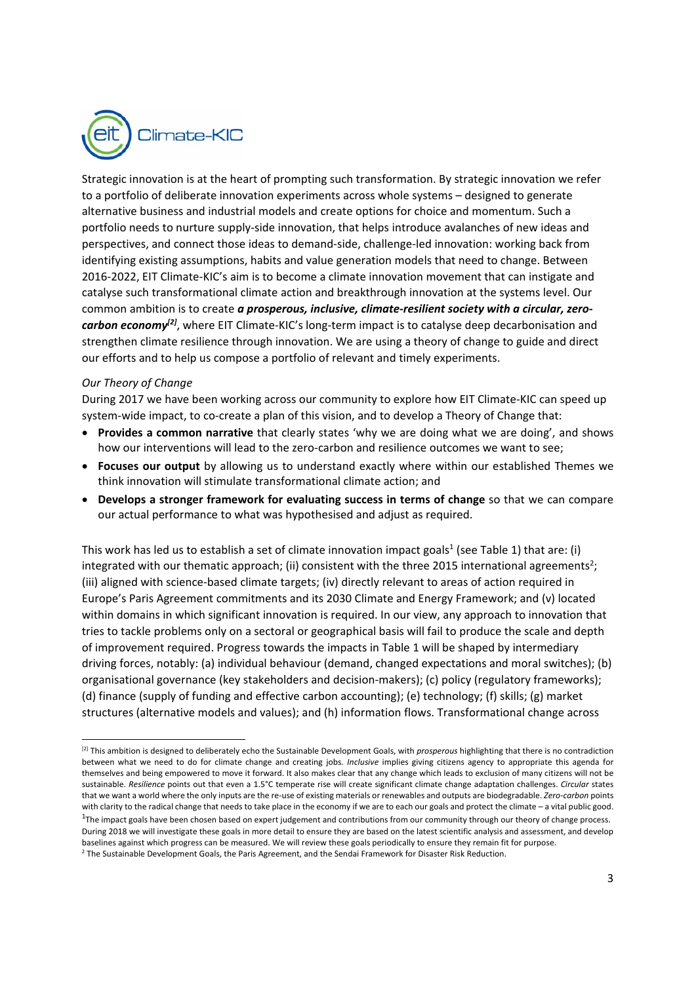

Strategic innovation is at the heart of prompting such transformation. By strategic innovation we refer to a portfolio of deliberate innovation experiments across whole systems – designed to generate alternative business and industrial models and create options for choice and momentum. Such a portfolio needs to nurture supply‐side innovation, that helps introduce avalanches of new ideas and perspectives, and connect those ideas to demand‐side, challenge‐led innovation: working back from identifying existing assumptions, habits and value generation models that need to change. Between 2016‐2022, EIT Climate‐KIC's aim is to become a climate innovation movement that can instigate and catalyse such transformational climate action and breakthrough innovation at the systems level. Our common ambition is to create *a prosperous, inclusive, climate‐resilient society with a circular, zero‐* carbon economy<sup>[2]</sup>, where EIT Climate-KIC's long-term impact is to catalyse deep decarbonisation and strengthen climate resilience through innovation. We are using a theory of change to guide and direct our efforts and to help us compose a portfolio of relevant and timely experiments.

#### *Our Theory of Change*

During 2017 we have been working across our community to explore how EIT Climate-KIC can speed up system-wide impact, to co-create a plan of this vision, and to develop a Theory of Change that:

- **Provides a common narrative** that clearly states 'why we are doing what we are doing', and shows how our interventions will lead to the zero-carbon and resilience outcomes we want to see;
- **Focuses our output** by allowing us to understand exactly where within our established Themes we think innovation will stimulate transformational climate action; and
- **Develops a stronger framework for evaluating success in terms of change** so that we can compare our actual performance to what was hypothesised and adjust as required.

This work has led us to establish a set of climate innovation impact goals<sup>1</sup> (see Table 1) that are: (i) integrated with our thematic approach; (ii) consistent with the three 2015 international agreements<sup>2</sup>; (iii) aligned with science‐based climate targets; (iv) directly relevant to areas of action required in Europe's Paris Agreement commitments and its 2030 Climate and Energy Framework; and (v) located within domains in which significant innovation is required. In our view, any approach to innovation that tries to tackle problems only on a sectoral or geographical basis will fail to produce the scale and depth of improvement required. Progress towards the impacts in Table 1 will be shaped by intermediary driving forces, notably: (a) individual behaviour (demand, changed expectations and moral switches); (b) organisational governance (key stakeholders and decision‐makers); (c) policy (regulatory frameworks); (d) finance (supply of funding and effective carbon accounting); (e) technology; (f) skills; (g) market structures (alternative models and values); and (h) information flows. Transformational change across

<sup>[2]</sup> This ambition is designed to deliberately echo the Sustainable Development Goals, with *prosperous* highlighting that there is no contradiction between what we need to do for climate change and creating jobs. *Inclusive*  implies giving citizens agency to appropriate this agenda for themselves and being empowered to move it forward. It also makes clear that any change which leads to exclusion of many citizens will not be sustainable. *Resilience* points out that even a 1.5°C temperate rise will create significant climate change adaptation challenges. *Circular* states that we want a world where the only inputs are the re‐use of existing materials or renewables and outputs are biodegradable. *Zero‐carbon* points with clarity to the radical change that needs to take place in the economy if we are to each our goals and protect the climate – a vital public good. <sup>1</sup>The impact goals have been chosen based on expert judgement and contributions from our community through our theory of change process. During 2018 we will investigate these goals in more detail to ensure they are based on the latest scientific analysis and assessment, and develop baselines against which progress can be measured. We will review these goals periodically to ensure they remain fit for purpose.

<sup>&</sup>lt;sup>2</sup> The Sustainable Development Goals, the Paris Agreement, and the Sendai Framework for Disaster Risk Reduction.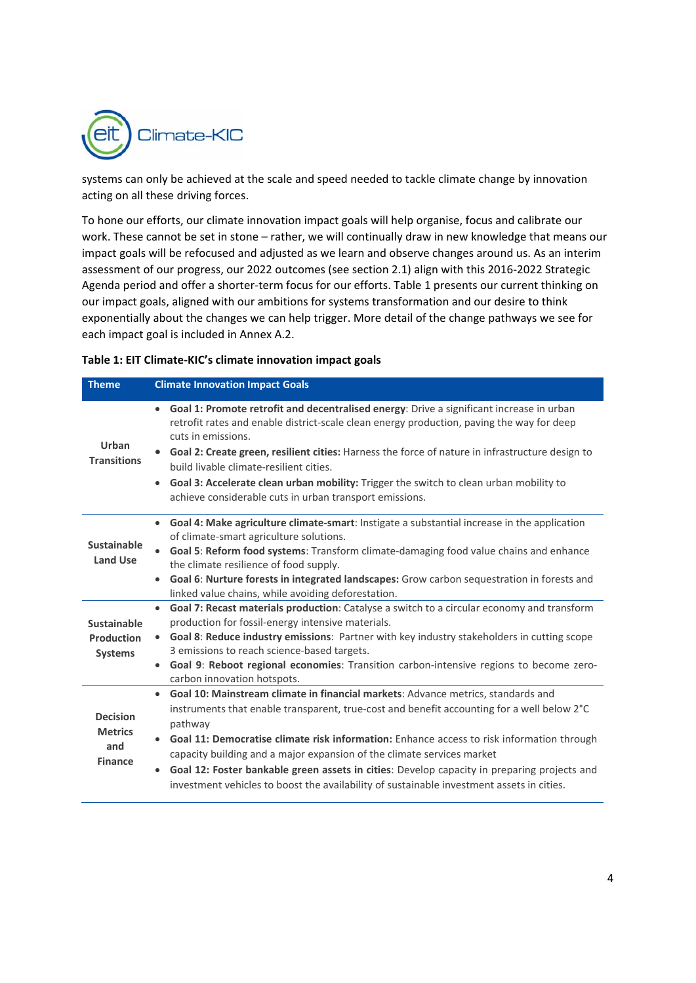

systems can only be achieved at the scale and speed needed to tackle climate change by innovation acting on all these driving forces.

To hone our efforts, our climate innovation impact goals will help organise, focus and calibrate our work. These cannot be set in stone – rather, we will continually draw in new knowledge that means our impact goals will be refocused and adjusted as we learn and observe changes around us. As an interim assessment of our progress, our 2022 outcomes (see section 2.1) align with this 2016‐2022 Strategic Agenda period and offer a shorter‐term focus for our efforts. Table 1 presents our current thinking on our impact goals, aligned with our ambitions for systems transformation and our desire to think exponentially about the changes we can help trigger. More detail of the change pathways we see for each impact goal is included in Annex A.2.

|  | Table 1: EIT Climate-KIC's climate innovation impact goals |  |  |  |
|--|------------------------------------------------------------|--|--|--|
|--|------------------------------------------------------------|--|--|--|

| <b>Theme</b>                                               | <b>Climate Innovation Impact Goals</b>                                                                                                                                                                                                                                                                                                                                                                                                                                                                                                                                                              |
|------------------------------------------------------------|-----------------------------------------------------------------------------------------------------------------------------------------------------------------------------------------------------------------------------------------------------------------------------------------------------------------------------------------------------------------------------------------------------------------------------------------------------------------------------------------------------------------------------------------------------------------------------------------------------|
| Urban<br><b>Transitions</b>                                | Goal 1: Promote retrofit and decentralised energy: Drive a significant increase in urban<br>$\bullet$<br>retrofit rates and enable district-scale clean energy production, paving the way for deep<br>cuts in emissions.<br>Goal 2: Create green, resilient cities: Harness the force of nature in infrastructure design to<br>build livable climate-resilient cities.<br>Goal 3: Accelerate clean urban mobility: Trigger the switch to clean urban mobility to<br>$\bullet$<br>achieve considerable cuts in urban transport emissions.                                                            |
| Sustainable<br><b>Land Use</b>                             | Goal 4: Make agriculture climate-smart: Instigate a substantial increase in the application<br>$\bullet$<br>of climate-smart agriculture solutions.<br>Goal 5: Reform food systems: Transform climate-damaging food value chains and enhance<br>the climate resilience of food supply.<br>Goal 6: Nurture forests in integrated landscapes: Grow carbon sequestration in forests and<br>$\bullet$<br>linked value chains, while avoiding deforestation.                                                                                                                                             |
| Sustainable<br><b>Production</b><br><b>Systems</b>         | Goal 7: Recast materials production: Catalyse a switch to a circular economy and transform<br>$\bullet$<br>production for fossil-energy intensive materials.<br>Goal 8: Reduce industry emissions: Partner with key industry stakeholders in cutting scope<br>$\bullet$<br>3 emissions to reach science-based targets.<br>Goal 9: Reboot regional economies: Transition carbon-intensive regions to become zero-<br>$\bullet$<br>carbon innovation hotspots.                                                                                                                                        |
| <b>Decision</b><br><b>Metrics</b><br>and<br><b>Finance</b> | Goal 10: Mainstream climate in financial markets: Advance metrics, standards and<br>$\bullet$<br>instruments that enable transparent, true-cost and benefit accounting for a well below 2°C<br>pathway<br>Goal 11: Democratise climate risk information: Enhance access to risk information through<br>$\bullet$<br>capacity building and a major expansion of the climate services market<br>Goal 12: Foster bankable green assets in cities: Develop capacity in preparing projects and<br>$\bullet$<br>investment vehicles to boost the availability of sustainable investment assets in cities. |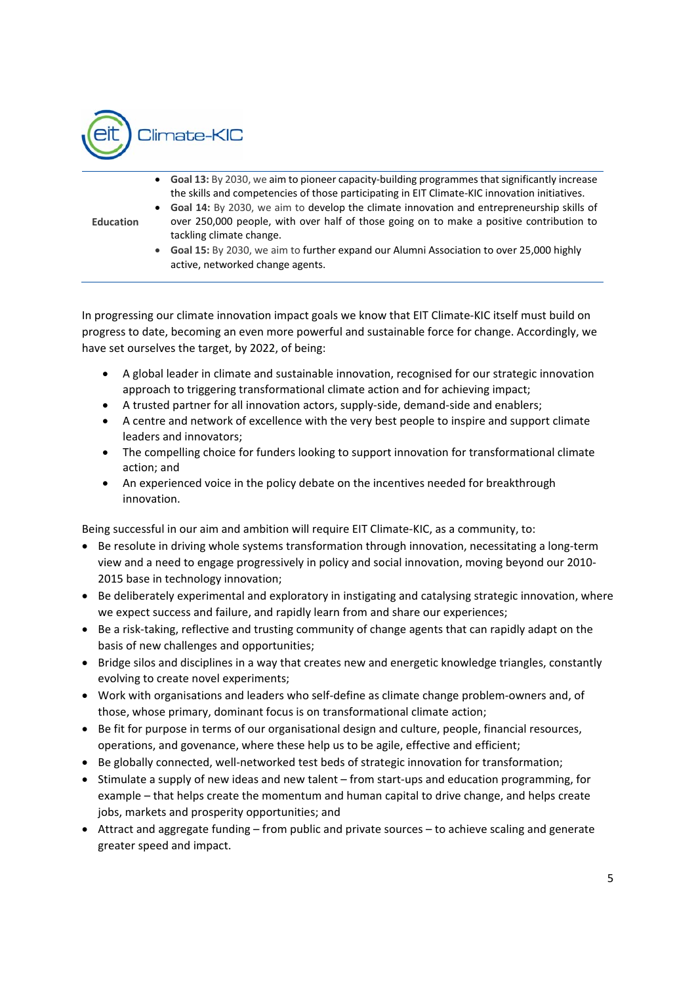

| <b>Education</b> | $\bullet$ | Goal 13: By 2030, we aim to pioneer capacity-building programmes that significantly increase<br>the skills and competencies of those participating in EIT Climate-KIC innovation initiatives.<br>• Goal 14: By 2030, we aim to develop the climate innovation and entrepreneurship skills of<br>over 250,000 people, with over half of those going on to make a positive contribution to<br>tackling climate change.<br>• Goal 15: By 2030, we aim to further expand our Alumni Association to over 25,000 highly<br>active, networked change agents. |
|------------------|-----------|-------------------------------------------------------------------------------------------------------------------------------------------------------------------------------------------------------------------------------------------------------------------------------------------------------------------------------------------------------------------------------------------------------------------------------------------------------------------------------------------------------------------------------------------------------|
|                  |           |                                                                                                                                                                                                                                                                                                                                                                                                                                                                                                                                                       |

In progressing our climate innovation impact goals we know that EIT Climate‐KIC itself must build on progress to date, becoming an even more powerful and sustainable force for change. Accordingly, we have set ourselves the target, by 2022, of being:

- A global leader in climate and sustainable innovation, recognised for our strategic innovation approach to triggering transformational climate action and for achieving impact;
- A trusted partner for all innovation actors, supply‐side, demand‐side and enablers;
- A centre and network of excellence with the very best people to inspire and support climate leaders and innovators;
- The compelling choice for funders looking to support innovation for transformational climate action; and
- An experienced voice in the policy debate on the incentives needed for breakthrough innovation.

Being successful in our aim and ambition will require EIT Climate‐KIC, as a community, to:

- Be resolute in driving whole systems transformation through innovation, necessitating a long-term view and a need to engage progressively in policy and social innovation, moving beyond our 2010‐ 2015 base in technology innovation;
- Be deliberately experimental and exploratory in instigating and catalysing strategic innovation, where we expect success and failure, and rapidly learn from and share our experiences;
- Be a risk-taking, reflective and trusting community of change agents that can rapidly adapt on the basis of new challenges and opportunities;
- Bridge silos and disciplines in a way that creates new and energetic knowledge triangles, constantly evolving to create novel experiments;
- Work with organisations and leaders who self‐define as climate change problem‐owners and, of those, whose primary, dominant focus is on transformational climate action;
- Be fit for purpose in terms of our organisational design and culture, people, financial resources, operations, and govenance, where these help us to be agile, effective and efficient;
- Be globally connected, well-networked test beds of strategic innovation for transformation;
- $\bullet$  Stimulate a supply of new ideas and new talent from start-ups and education programming, for example – that helps create the momentum and human capital to drive change, and helps create jobs, markets and prosperity opportunities; and
- Attract and aggregate funding from public and private sources to achieve scaling and generate greater speed and impact.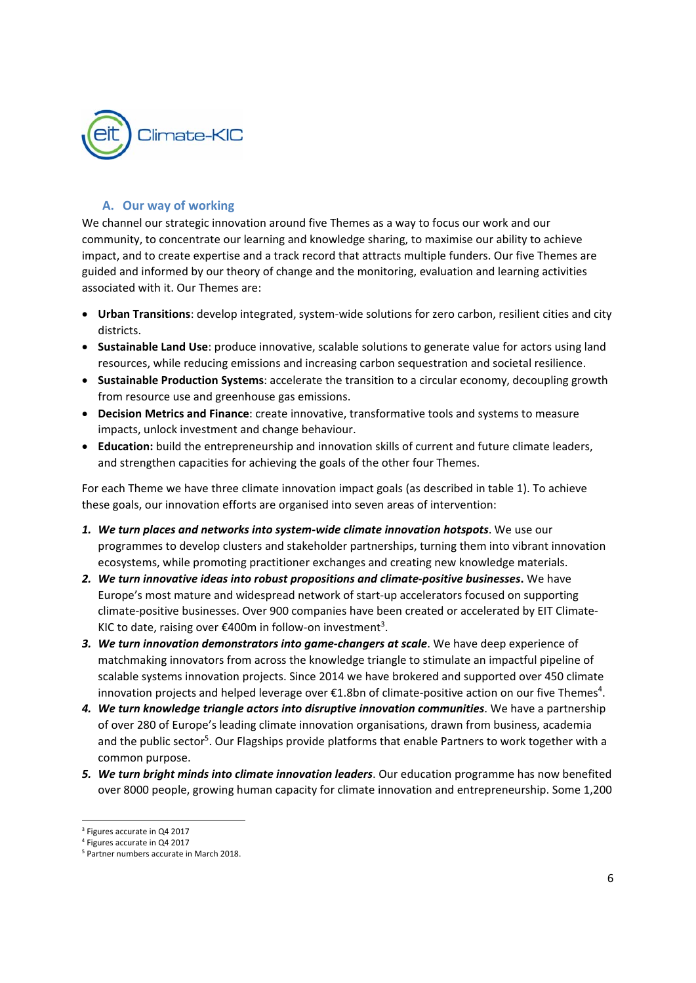

## **A. Our way of working**

We channel our strategic innovation around five Themes as a way to focus our work and our community, to concentrate our learning and knowledge sharing, to maximise our ability to achieve impact, and to create expertise and a track record that attracts multiple funders. Our five Themes are guided and informed by our theory of change and the monitoring, evaluation and learning activities associated with it. Our Themes are:

- Urban Transitions: develop integrated, system-wide solutions for zero carbon, resilient cities and city districts.
- **Sustainable Land Use**: produce innovative, scalable solutions to generate value for actors using land resources, while reducing emissions and increasing carbon sequestration and societal resilience.
- **Sustainable Production Systems**: accelerate the transition to a circular economy, decoupling growth from resource use and greenhouse gas emissions.
- **Decision Metrics and Finance**: create innovative, transformative tools and systems to measure impacts, unlock investment and change behaviour.
- **Education:** build the entrepreneurship and innovation skills of current and future climate leaders, and strengthen capacities for achieving the goals of the other four Themes.

For each Theme we have three climate innovation impact goals (as described in table 1). To achieve these goals, our innovation efforts are organised into seven areas of intervention:

- *1. We turn places and networks into system‐wide climate innovation hotspots*. We use our programmes to develop clusters and stakeholder partnerships, turning them into vibrant innovation ecosystems, while promoting practitioner exchanges and creating new knowledge materials.
- *2. We turn innovative ideas into robust propositions and climate‐positive businesses***.** We have Europe's most mature and widespread network of start‐up accelerators focused on supporting climate‐positive businesses. Over 900 companies have been created or accelerated by EIT Climate‐ KIC to date, raising over €400m in follow-on investment<sup>3</sup>.
- *3. We turn innovation demonstrators into game‐changers at scale*. We have deep experience of matchmaking innovators from across the knowledge triangle to stimulate an impactful pipeline of scalable systems innovation projects. Since 2014 we have brokered and supported over 450 climate innovation projects and helped leverage over  $\epsilon$ 1.8bn of climate-positive action on our five Themes<sup>4</sup>.
- *4. We turn knowledge triangle actors into disruptive innovation communities*. We have a partnership of over 280 of Europe's leading climate innovation organisations, drawn from business, academia and the public sector<sup>5</sup>. Our Flagships provide platforms that enable Partners to work together with a common purpose.
- *5. We turn bright minds into climate innovation leaders*. Our education programme has now benefited over 8000 people, growing human capacity for climate innovation and entrepreneurship. Some 1,200

<sup>&</sup>lt;sup>3</sup> Figures accurate in Q4 2017

<sup>4</sup> Figures accurate in Q4 2017

<sup>5</sup> Partner numbers accurate in March 2018.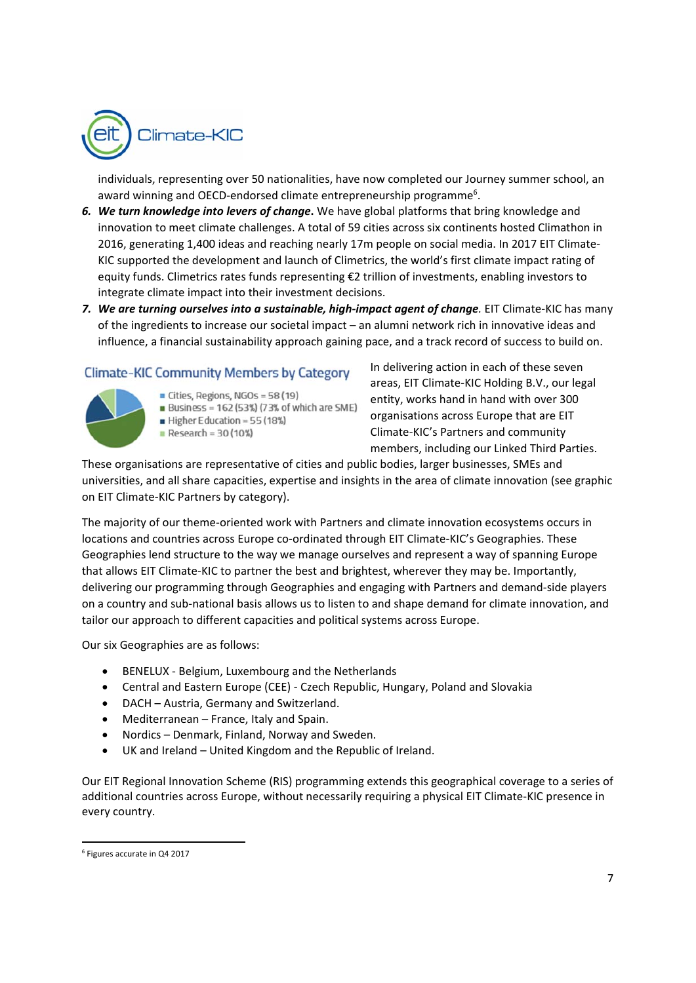

individuals, representing over 50 nationalities, have now completed our Journey summer school, an award winning and OECD-endorsed climate entrepreneurship programme<sup>6</sup>.

- *6. We turn knowledge into levers of change***.** We have global platforms that bring knowledge and innovation to meet climate challenges. A total of 59 cities across six continents hosted Climathon in 2016, generating 1,400 ideas and reaching nearly 17m people on social media. In 2017 EIT Climate‐ KIC supported the development and launch of Climetrics, the world's first climate impact rating of equity funds. Climetrics rates funds representing €2 trillion of investments, enabling investors to integrate climate impact into their investment decisions.
- 7. We are turning ourselves into a sustainable, high-impact agent of change. EIT Climate-KIC has many of the ingredients to increase our societal impact – an alumni network rich in innovative ideas and influence, a financial sustainability approach gaining pace, and a track record of success to build on.

## **Climate-KIC Community Members by Category**

- 
- $\blacksquare$  Cities, Regions, NGOs = 58 (19)
- **Business = 162 (53%) (73% of which are SME)**
- Higher Education =  $55(18%)$  $Res \cdot \text{Re} = 30(10\%)$

In delivering action in each of these seven areas, EIT Climate‐KIC Holding B.V., our legal entity, works hand in hand with over 300 organisations across Europe that are EIT Climate‐KIC's Partners and community members, including our Linked Third Parties.

These organisations are representative of cities and public bodies, larger businesses, SMEs and universities, and all share capacities, expertise and insights in the area of climate innovation (see graphic on EIT Climate‐KIC Partners by category).

The majority of our theme‐oriented work with Partners and climate innovation ecosystems occurs in locations and countries across Europe co-ordinated through EIT Climate-KIC's Geographies. These Geographies lend structure to the way we manage ourselves and represent a way of spanning Europe that allows EIT Climate‐KIC to partner the best and brightest, wherever they may be. Importantly, delivering our programming through Geographies and engaging with Partners and demand‐side players on a country and sub‐national basis allows us to listen to and shape demand for climate innovation, and tailor our approach to different capacities and political systems across Europe.

Our six Geographies are as follows:

- BENELUX Belgium, Luxembourg and the Netherlands
- Central and Eastern Europe (CEE) ‐ Czech Republic, Hungary, Poland and Slovakia
- DACH Austria, Germany and Switzerland.
- Mediterranean France, Italy and Spain.
- Nordics Denmark, Finland, Norway and Sweden.
- UK and Ireland United Kingdom and the Republic of Ireland.

Our EIT Regional Innovation Scheme (RIS) programming extends this geographical coverage to a series of additional countries across Europe, without necessarily requiring a physical EIT Climate‐KIC presence in every country.

 6 Figures accurate in Q4 2017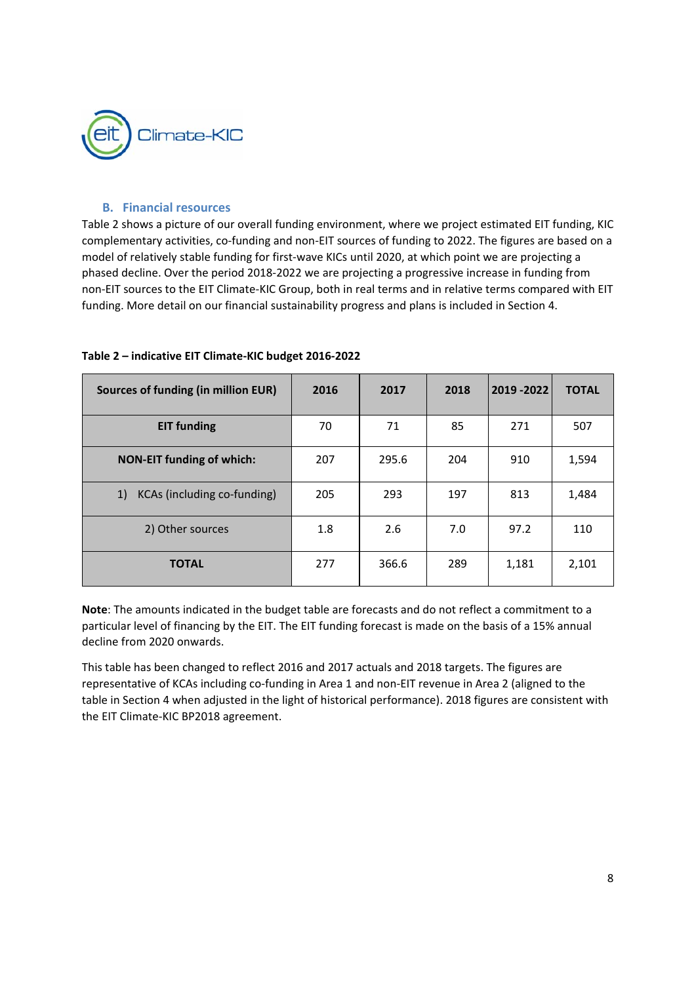

## **B. Financial resources**

Table 2 shows a picture of our overall funding environment, where we project estimated EIT funding, KIC complementary activities, co-funding and non-EIT sources of funding to 2022. The figures are based on a model of relatively stable funding for first-wave KICs until 2020, at which point we are projecting a phased decline. Over the period 2018‐2022 we are projecting a progressive increase in funding from non‐EIT sources to the EIT Climate‐KIC Group, both in real terms and in relative terms compared with EIT funding. More detail on our financial sustainability progress and plans is included in Section 4.

| Sources of funding (in million EUR) | 2016 | 2017  | 2018 | 2019 - 2022 | <b>TOTAL</b> |
|-------------------------------------|------|-------|------|-------------|--------------|
| <b>EIT funding</b>                  | 70   | 71    | 85   | 271         | 507          |
| <b>NON-EIT funding of which:</b>    | 207  | 295.6 | 204  | 910         | 1,594        |
| KCAs (including co-funding)<br>1)   | 205  | 293   | 197  | 813         | 1,484        |
| 2) Other sources                    | 1.8  | 2.6   | 7.0  | 97.2        | 110          |
| <b>TOTAL</b>                        | 277  | 366.6 | 289  | 1,181       | 2,101        |

#### **Table 2 – indicative EIT Climate‐KIC budget 2016‐2022**

**Note**: The amounts indicated in the budget table are forecasts and do not reflect a commitment to a particular level of financing by the EIT. The EIT funding forecast is made on the basis of a 15% annual decline from 2020 onwards.

This table has been changed to reflect 2016 and 2017 actuals and 2018 targets. The figures are representative of KCAs including co-funding in Area 1 and non-EIT revenue in Area 2 (aligned to the table in Section 4 when adjusted in the light of historical performance). 2018 figures are consistent with the EIT Climate‐KIC BP2018 agreement.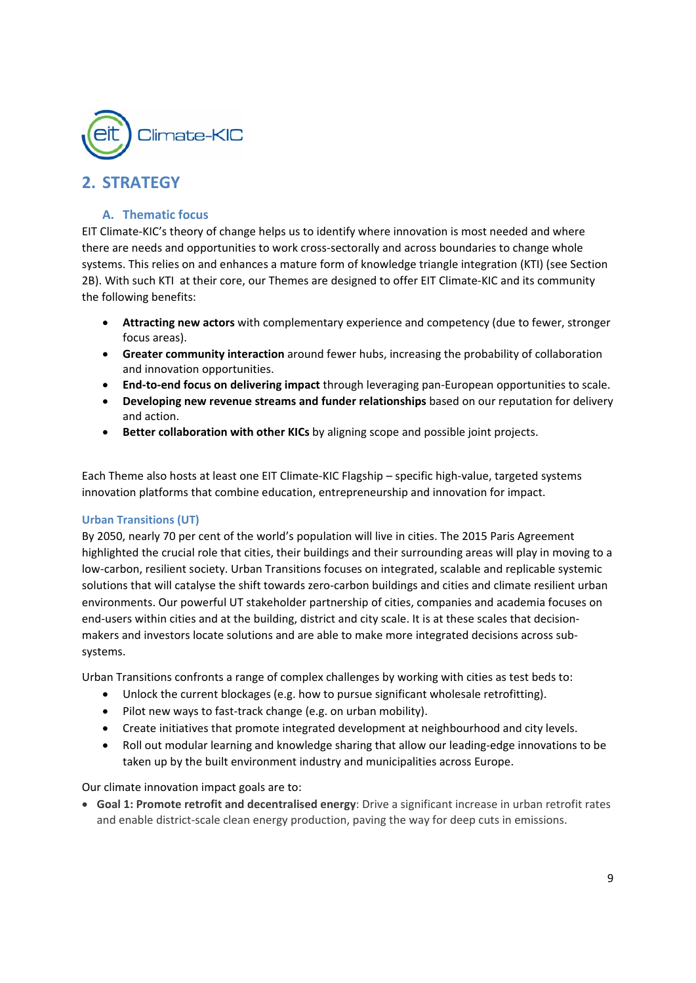

# **2. STRATEGY**

## **A. Thematic focus**

EIT Climate-KIC's theory of change helps us to identify where innovation is most needed and where there are needs and opportunities to work cross‐sectorally and across boundaries to change whole systems. This relies on and enhances a mature form of knowledge triangle integration (KTI) (see Section 2B). With such KTI at their core, our Themes are designed to offer EIT Climate-KIC and its community the following benefits:

- **Attracting new actors** with complementary experience and competency (due to fewer, stronger focus areas).
- **Greater community interaction** around fewer hubs, increasing the probability of collaboration and innovation opportunities.
- **End‐to‐end focus on delivering impact** through leveraging pan‐European opportunities to scale.
- **Developing new revenue streams and funder relationships** based on our reputation for delivery and action.
- **Better collaboration with other KICs** by aligning scope and possible joint projects.

Each Theme also hosts at least one EIT Climate‐KIC Flagship *–* specific high‐value, targeted systems innovation platforms that combine education, entrepreneurship and innovation for impact.

#### **Urban Transitions (UT)**

By 2050, nearly 70 per cent of the world's population will live in cities. The 2015 Paris Agreement highlighted the crucial role that cities, their buildings and their surrounding areas will play in moving to a low‐carbon, resilient society. Urban Transitions focuses on integrated, scalable and replicable systemic solutions that will catalyse the shift towards zero-carbon buildings and cities and climate resilient urban environments. Our powerful UT stakeholder partnership of cities, companies and academia focuses on end-users within cities and at the building, district and city scale. It is at these scales that decisionmakers and investors locate solutions and are able to make more integrated decisions across sub‐ systems.

Urban Transitions confronts a range of complex challenges by working with cities as test beds to:

- Unlock the current blockages (e.g. how to pursue significant wholesale retrofitting).
- Pilot new ways to fast-track change (e.g. on urban mobility).
- Create initiatives that promote integrated development at neighbourhood and city levels.
- Roll out modular learning and knowledge sharing that allow our leading-edge innovations to be taken up by the built environment industry and municipalities across Europe.

Our climate innovation impact goals are to:

 **Goal 1: Promote retrofit and decentralised energy**: Drive a significant increase in urban retrofit rates and enable district-scale clean energy production, paving the way for deep cuts in emissions.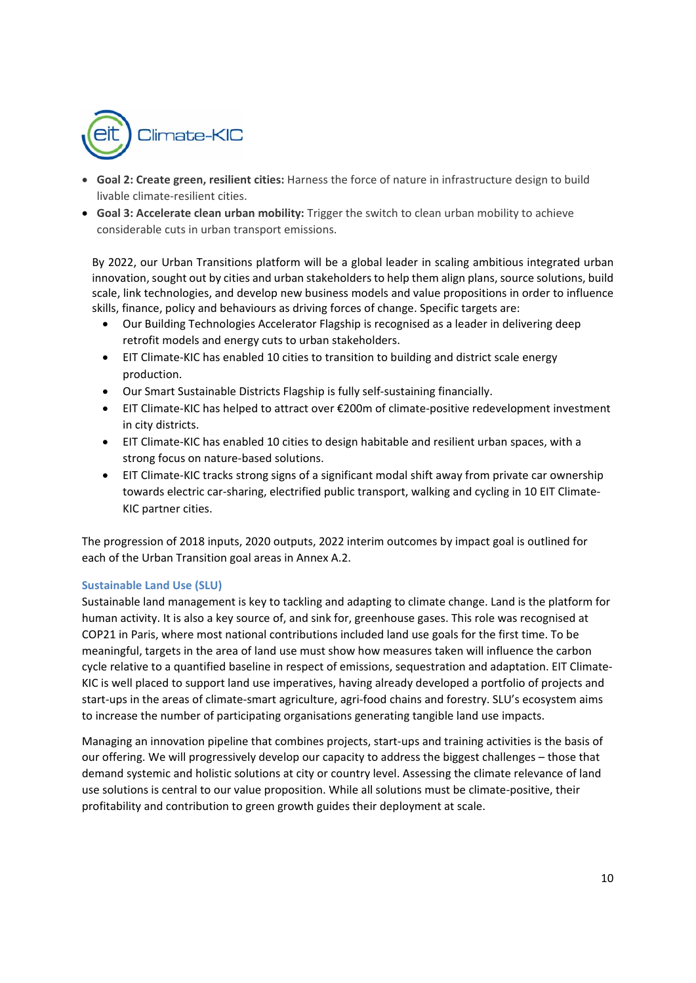

- **Goal 2: Create green, resilient cities:** Harness the force of nature in infrastructure design to build livable climate‐resilient cities.
- **Goal 3: Accelerate clean urban mobility:** Trigger the switch to clean urban mobility to achieve considerable cuts in urban transport emissions.

By 2022, our Urban Transitions platform will be a global leader in scaling ambitious integrated urban innovation, sought out by cities and urban stakeholders to help them align plans, source solutions, build scale, link technologies, and develop new business models and value propositions in order to influence skills, finance, policy and behaviours as driving forces of change. Specific targets are:

- Our Building Technologies Accelerator Flagship is recognised as a leader in delivering deep retrofit models and energy cuts to urban stakeholders.
- EIT Climate‐KIC has enabled 10 cities to transition to building and district scale energy production.
- Our Smart Sustainable Districts Flagship is fully self-sustaining financially.
- EIT Climate‐KIC has helped to attract over €200m of climate‐positive redevelopment investment in city districts.
- EIT Climate‐KIC has enabled 10 cities to design habitable and resilient urban spaces, with a strong focus on nature‐based solutions.
- EIT Climate-KIC tracks strong signs of a significant modal shift away from private car ownership towards electric car-sharing, electrified public transport, walking and cycling in 10 EIT Climate-KIC partner cities.

The progression of 2018 inputs, 2020 outputs, 2022 interim outcomes by impact goal is outlined for each of the Urban Transition goal areas in Annex A.2.

#### **Sustainable Land Use (SLU)**

Sustainable land management is key to tackling and adapting to climate change. Land is the platform for human activity. It is also a key source of, and sink for, greenhouse gases. This role was recognised at COP21 in Paris, where most national contributions included land use goals for the first time. To be meaningful, targets in the area of land use must show how measures taken will influence the carbon cycle relative to a quantified baseline in respect of emissions, sequestration and adaptation. EIT Climate‐ KIC is well placed to support land use imperatives, having already developed a portfolio of projects and start-ups in the areas of climate-smart agriculture, agri-food chains and forestry. SLU's ecosystem aims to increase the number of participating organisations generating tangible land use impacts.

Managing an innovation pipeline that combines projects, start-ups and training activities is the basis of our offering. We will progressively develop our capacity to address the biggest challenges – those that demand systemic and holistic solutions at city or country level. Assessing the climate relevance of land use solutions is central to our value proposition. While all solutions must be climate-positive, their profitability and contribution to green growth guides their deployment at scale.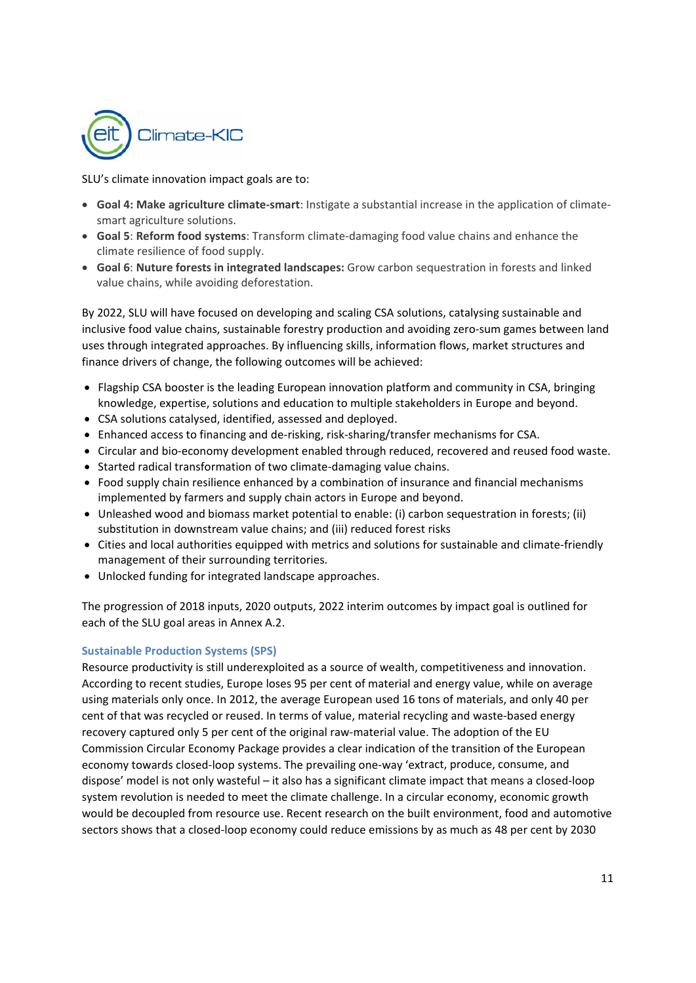

SLU's climate innovation impact goals are to:

- **Goal 4: Make agriculture climate‐smart**: Instigate a substantial increase in the application of climate‐ smart agriculture solutions.
- **Goal 5**: **Reform food systems**: Transform climate‐damaging food value chains and enhance the climate resilience of food supply.
- **Goal 6**: **Nuture forests in integrated landscapes:** Grow carbon sequestration in forests and linked value chains, while avoiding deforestation.

By 2022, SLU will have focused on developing and scaling CSA solutions, catalysing sustainable and inclusive food value chains, sustainable forestry production and avoiding zero‐sum games between land uses through integrated approaches. By influencing skills, information flows, market structures and finance drivers of change, the following outcomes will be achieved:

- Flagship CSA booster is the leading European innovation platform and community in CSA, bringing knowledge, expertise, solutions and education to multiple stakeholders in Europe and beyond.
- CSA solutions catalysed, identified, assessed and deployed.
- Enhanced access to financing and de-risking, risk-sharing/transfer mechanisms for CSA.
- Circular and bio‐economy development enabled through reduced, recovered and reused food waste.
- Started radical transformation of two climate-damaging value chains.
- Food supply chain resilience enhanced by a combination of insurance and financial mechanisms implemented by farmers and supply chain actors in Europe and beyond.
- Unleashed wood and biomass market potential to enable: (i) carbon sequestration in forests; (ii) substitution in downstream value chains; and (iii) reduced forest risks
- Cities and local authorities equipped with metrics and solutions for sustainable and climate-friendly management of their surrounding territories.
- Unlocked funding for integrated landscape approaches.

The progression of 2018 inputs, 2020 outputs, 2022 interim outcomes by impact goal is outlined for each of the SLU goal areas in Annex A.2.

#### **Sustainable Production Systems (SPS)**

Resource productivity is still underexploited as a source of wealth, competitiveness and innovation. According to recent studies, Europe loses 95 per cent of material and energy value, while on average using materials only once. In 2012, the average European used 16 tons of materials, and only 40 per cent of that was recycled or reused. In terms of value, material recycling and waste‐based energy recovery captured only 5 per cent of the original raw-material value. The adoption of the EU Commission Circular Economy Package provides a clear indication of the transition of the European economy towards closed‐loop systems. The prevailing one‐way 'extract, produce, consume, and dispose' model is not only wasteful – it also has a significant climate impact that means a closed‐loop system revolution is needed to meet the climate challenge. In a circular economy, economic growth would be decoupled from resource use. Recent research on the built environment, food and automotive sectors shows that a closed‐loop economy could reduce emissions by as much as 48 per cent by 2030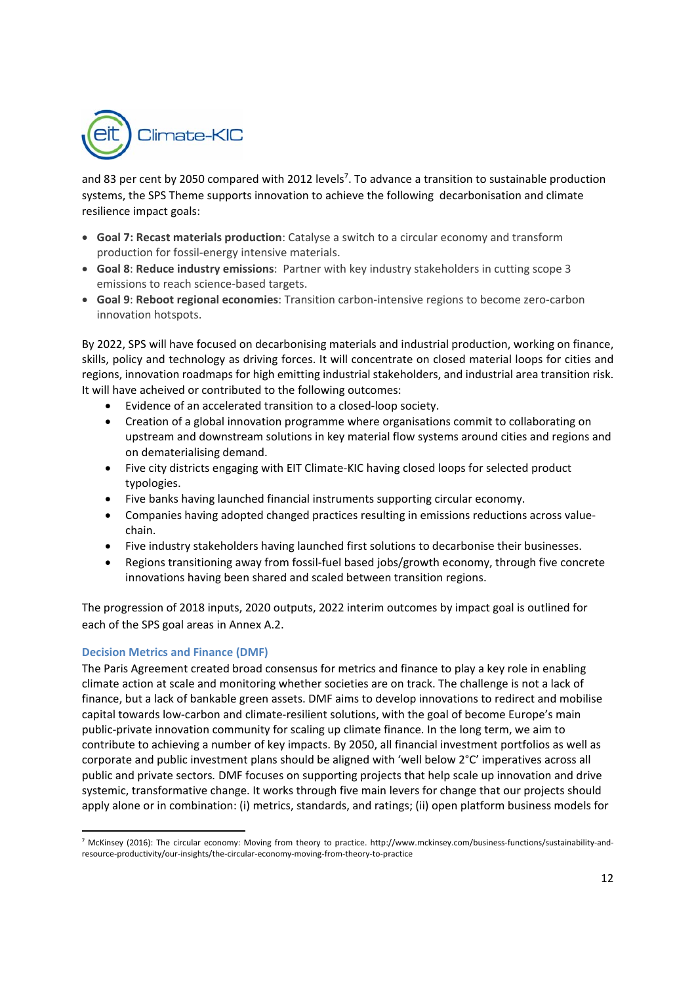

and 83 per cent by 2050 compared with 2012 levels<sup>7</sup>. To advance a transition to sustainable production systems, the SPS Theme supports innovation to achieve the following decarbonisation and climate resilience impact goals:

- **Goal 7: Recast materials production**: Catalyse a switch to a circular economy and transform production for fossil‐energy intensive materials.
- **Goal 8**: **Reduce industry emissions**: Partner with key industry stakeholders in cutting scope 3 emissions to reach science‐based targets.
- **Goal 9**: **Reboot regional economies**: Transition carbon‐intensive regions to become zero‐carbon innovation hotspots.

By 2022, SPS will have focused on decarbonising materials and industrial production, working on finance, skills, policy and technology as driving forces. It will concentrate on closed material loops for cities and regions, innovation roadmaps for high emitting industrial stakeholders, and industrial area transition risk. It will have acheived or contributed to the following outcomes:

- Evidence of an accelerated transition to a closed‐loop society.
- Creation of a global innovation programme where organisations commit to collaborating on upstream and downstream solutions in key material flow systems around cities and regions and on dematerialising demand.
- Five city districts engaging with EIT Climate‐KIC having closed loops for selected product typologies.
- Five banks having launched financial instruments supporting circular economy.
- Companies having adopted changed practices resulting in emissions reductions across value‐ chain.
- Five industry stakeholders having launched first solutions to decarbonise their businesses.
- Regions transitioning away from fossil‐fuel based jobs/growth economy, through five concrete innovations having been shared and scaled between transition regions.

The progression of 2018 inputs, 2020 outputs, 2022 interim outcomes by impact goal is outlined for each of the SPS goal areas in Annex A.2.

#### **Decision Metrics and Finance (DMF)**

The Paris Agreement created broad consensus for metrics and finance to play a key role in enabling climate action at scale and monitoring whether societies are on track. The challenge is not a lack of finance, but a lack of bankable green assets. DMF aims to develop innovations to redirect and mobilise capital towards low-carbon and climate-resilient solutions, with the goal of become Europe's main public‐private innovation community for scaling up climate finance. In the long term, we aim to contribute to achieving a number of key impacts. By 2050, all financial investment portfolios as well as corporate and public investment plans should be aligned with 'well below 2°C' imperatives across all public and private sectors*.* DMF focuses on supporting projects that help scale up innovation and drive systemic, transformative change. It works through five main levers for change that our projects should apply alone or in combination: (i) metrics, standards, and ratings; (ii) open platform business models for

 7 McKinsey (2016): The circular economy: Moving from theory to practice. http://www.mckinsey.com/business-functions/sustainability-andresource‐productivity/our‐insights/the‐circular‐economy‐moving‐from‐theory‐to‐practice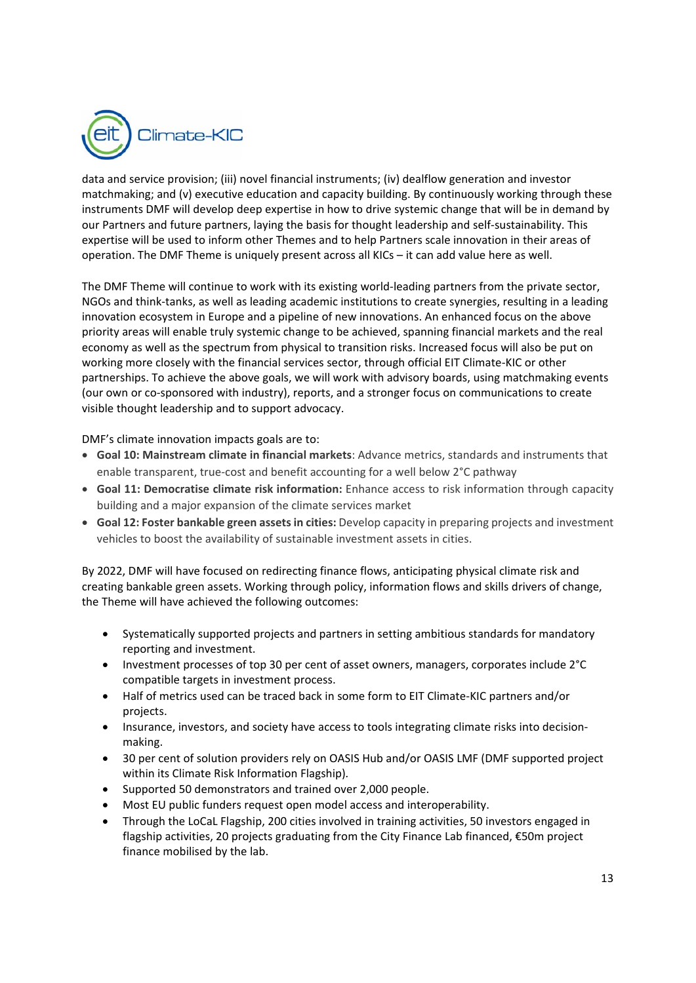

data and service provision; (iii) novel financial instruments; (iv) dealflow generation and investor matchmaking; and (v) executive education and capacity building. By continuously working through these instruments DMF will develop deep expertise in how to drive systemic change that will be in demand by our Partners and future partners, laying the basis for thought leadership and self‐sustainability. This expertise will be used to inform other Themes and to help Partners scale innovation in their areas of operation. The DMF Theme is uniquely present across all KICs – it can add value here as well.

The DMF Theme will continue to work with its existing world-leading partners from the private sector, NGOs and think‐tanks, as well as leading academic institutions to create synergies, resulting in a leading innovation ecosystem in Europe and a pipeline of new innovations. An enhanced focus on the above priority areas will enable truly systemic change to be achieved, spanning financial markets and the real economy as well as the spectrum from physical to transition risks. Increased focus will also be put on working more closely with the financial services sector, through official EIT Climate‐KIC or other partnerships. To achieve the above goals, we will work with advisory boards, using matchmaking events (our own or co‐sponsored with industry), reports, and a stronger focus on communications to create visible thought leadership and to support advocacy.

DMF's climate innovation impacts goals are to:

- **Goal 10: Mainstream climate in financial markets**: Advance metrics, standards and instruments that enable transparent, true-cost and benefit accounting for a well below 2°C pathway
- **Goal 11: Democratise climate risk information:** Enhance access to risk information through capacity building and a major expansion of the climate services market
- **Goal 12: Foster bankable green assets in cities:** Develop capacity in preparing projects and investment vehicles to boost the availability of sustainable investment assets in cities.

By 2022, DMF will have focused on redirecting finance flows, anticipating physical climate risk and creating bankable green assets. Working through policy, information flows and skills drivers of change, the Theme will have achieved the following outcomes:

- Systematically supported projects and partners in setting ambitious standards for mandatory reporting and investment.
- Investment processes of top 30 per cent of asset owners, managers, corporates include 2°C compatible targets in investment process.
- Half of metrics used can be traced back in some form to EIT Climate-KIC partners and/or projects.
- Insurance, investors, and society have access to tools integrating climate risks into decisionmaking.
- 30 per cent of solution providers rely on OASIS Hub and/or OASIS LMF (DMF supported project within its Climate Risk Information Flagship)*.*
- Supported 50 demonstrators and trained over 2,000 people.
- Most EU public funders request open model access and interoperability.
- Through the LoCaL Flagship, 200 cities involved in training activities, 50 investors engaged in flagship activities, 20 projects graduating from the City Finance Lab financed, €50m project finance mobilised by the lab.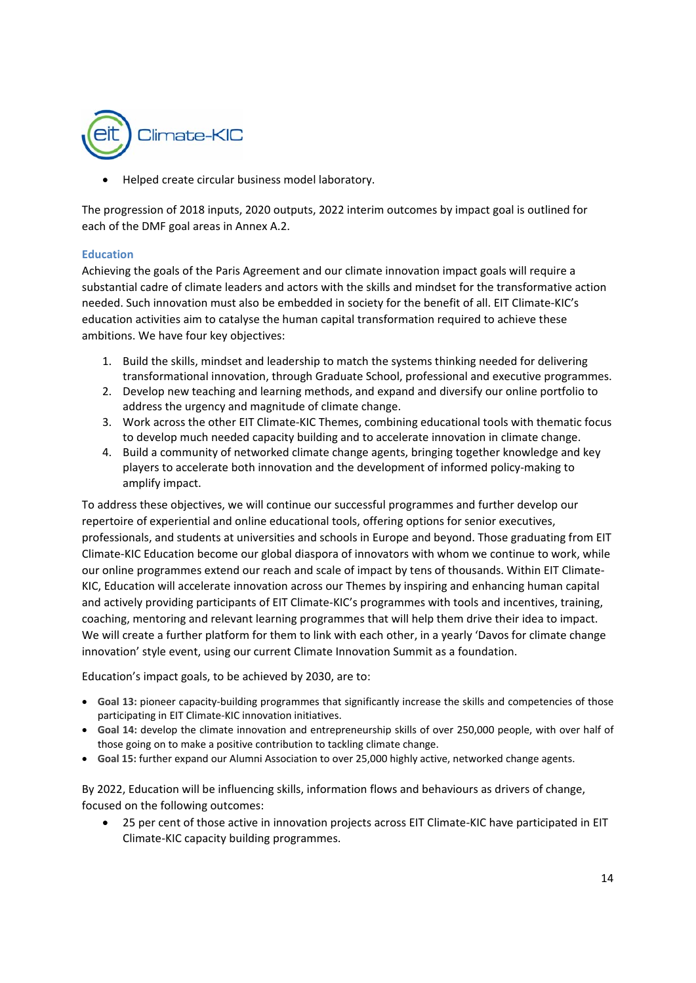

Helped create circular business model laboratory.

The progression of 2018 inputs, 2020 outputs, 2022 interim outcomes by impact goal is outlined for each of the DMF goal areas in Annex A.2.

#### **Education**

Achieving the goals of the Paris Agreement and our climate innovation impact goals will require a substantial cadre of climate leaders and actors with the skills and mindset for the transformative action needed. Such innovation must also be embedded in society for the benefit of all. EIT Climate‐KIC's education activities aim to catalyse the human capital transformation required to achieve these ambitions. We have four key objectives:

- 1. Build the skills, mindset and leadership to match the systems thinking needed for delivering transformational innovation, through Graduate School, professional and executive programmes.
- 2. Develop new teaching and learning methods, and expand and diversify our online portfolio to address the urgency and magnitude of climate change.
- 3. Work across the other EIT Climate‐KIC Themes, combining educational tools with thematic focus to develop much needed capacity building and to accelerate innovation in climate change.
- 4. Build a community of networked climate change agents, bringing together knowledge and key players to accelerate both innovation and the development of informed policy‐making to amplify impact.

To address these objectives, we will continue our successful programmes and further develop our repertoire of experiential and online educational tools, offering options for senior executives, professionals, and students at universities and schools in Europe and beyond. Those graduating from EIT Climate‐KIC Education become our global diaspora of innovators with whom we continue to work, while our online programmes extend our reach and scale of impact by tens of thousands. Within EIT Climate‐ KIC, Education will accelerate innovation across our Themes by inspiring and enhancing human capital and actively providing participants of EIT Climate-KIC's programmes with tools and incentives, training, coaching, mentoring and relevant learning programmes that will help them drive their idea to impact. We will create a further platform for them to link with each other, in a yearly 'Davos for climate change innovation' style event, using our current Climate Innovation Summit as a foundation.

Education's impact goals, to be achieved by 2030, are to:

- **Goal 13:** pioneer capacity‐building programmes that significantly increase the skills and competencies of those participating in EIT Climate‐KIC innovation initiatives.
- **Goal 14:** develop the climate innovation and entrepreneurship skills of over 250,000 people, with over half of those going on to make a positive contribution to tackling climate change.
- **Goal 15:** further expand our Alumni Association to over 25,000 highly active, networked change agents.

By 2022, Education will be influencing skills, information flows and behaviours as drivers of change, focused on the following outcomes:

25 per cent of those active in innovation projects across EIT Climate-KIC have participated in EIT Climate‐KIC capacity building programmes.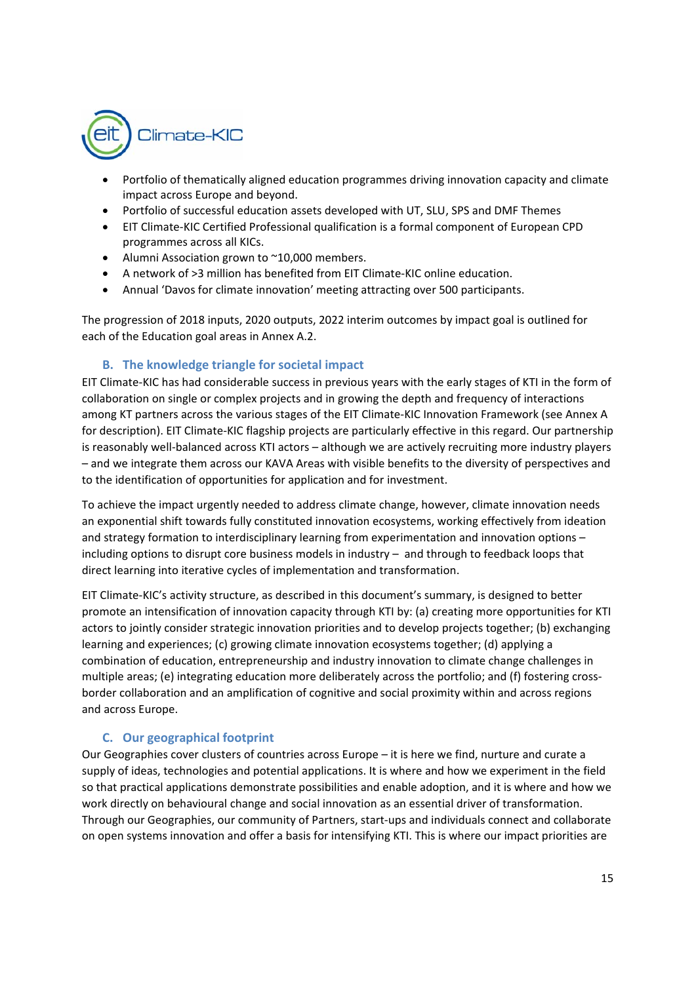

- Portfolio of thematically aligned education programmes driving innovation capacity and climate impact across Europe and beyond.
- Portfolio of successful education assets developed with UT, SLU, SPS and DMF Themes
- EIT Climate‐KIC Certified Professional qualification is a formal component of European CPD programmes across all KICs.
- Alumni Association grown to ~10,000 members.
- A network of >3 million has benefited from EIT Climate‐KIC online education.
- Annual 'Davos for climate innovation' meeting attracting over 500 participants.

The progression of 2018 inputs, 2020 outputs, 2022 interim outcomes by impact goal is outlined for each of the Education goal areas in Annex A.2.

## **B. The knowledge triangle for societal impact**

EIT Climate‐KIC has had considerable success in previous years with the early stages of KTI in the form of collaboration on single or complex projects and in growing the depth and frequency of interactions among KT partners across the various stages of the EIT Climate‐KIC Innovation Framework (see Annex A for description). EIT Climate‐KIC flagship projects are particularly effective in this regard. Our partnership is reasonably well-balanced across KTI actors - although we are actively recruiting more industry players – and we integrate them across our KAVA Areas with visible benefits to the diversity of perspectives and to the identification of opportunities for application and for investment.

To achieve the impact urgently needed to address climate change, however, climate innovation needs an exponential shift towards fully constituted innovation ecosystems, working effectively from ideation and strategy formation to interdisciplinary learning from experimentation and innovation options – including options to disrupt core business models in industry – and through to feedback loops that direct learning into iterative cycles of implementation and transformation.

EIT Climate‐KIC's activity structure, as described in this document's summary, is designed to better promote an intensification of innovation capacity through KTI by: (a) creating more opportunities for KTI actors to jointly consider strategic innovation priorities and to develop projects together; (b) exchanging learning and experiences; (c) growing climate innovation ecosystems together; (d) applying a combination of education, entrepreneurship and industry innovation to climate change challenges in multiple areas; (e) integrating education more deliberately across the portfolio; and (f) fostering crossborder collaboration and an amplification of cognitive and social proximity within and across regions and across Europe.

## **C. Our geographical footprint**

Our Geographies cover clusters of countries across Europe – it is here we find, nurture and curate a supply of ideas, technologies and potential applications. It is where and how we experiment in the field so that practical applications demonstrate possibilities and enable adoption, and it is where and how we work directly on behavioural change and social innovation as an essential driver of transformation. Through our Geographies, our community of Partners, start‐ups and individuals connect and collaborate on open systems innovation and offer a basis for intensifying KTI. This is where our impact priorities are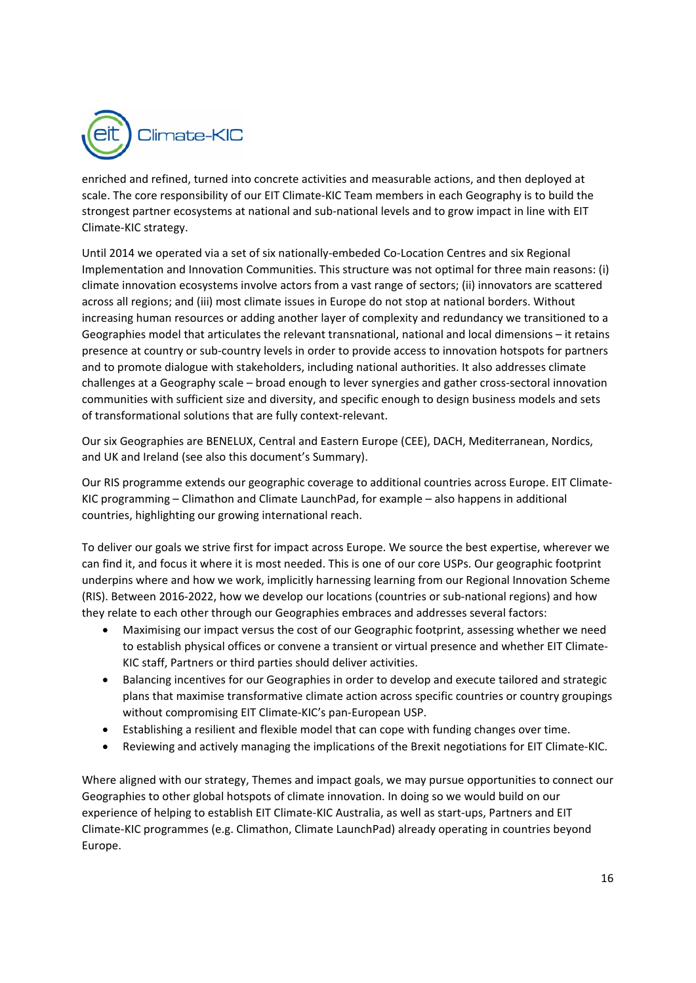

enriched and refined, turned into concrete activities and measurable actions, and then deployed at scale. The core responsibility of our EIT Climate‐KIC Team members in each Geography is to build the strongest partner ecosystems at national and sub‐national levels and to grow impact in line with EIT Climate‐KIC strategy.

Until 2014 we operated via a set of six nationally‐embeded Co‐Location Centres and six Regional Implementation and Innovation Communities. This structure was not optimal for three main reasons: (i) climate innovation ecosystems involve actors from a vast range of sectors; (ii) innovators are scattered across all regions; and (iii) most climate issues in Europe do not stop at national borders. Without increasing human resources or adding another layer of complexity and redundancy we transitioned to a Geographies model that articulates the relevant transnational, national and local dimensions – it retains presence at country or sub‐country levels in order to provide access to innovation hotspots for partners and to promote dialogue with stakeholders, including national authorities. It also addresses climate challenges at a Geography scale – broad enough to lever synergies and gather cross‐sectoral innovation communities with sufficient size and diversity, and specific enough to design business models and sets of transformational solutions that are fully context‐relevant.

Our six Geographies are BENELUX, Central and Eastern Europe (CEE), DACH, Mediterranean, Nordics, and UK and Ireland (see also this document's Summary).

Our RIS programme extends our geographic coverage to additional countries across Europe. EIT Climate‐ KIC programming – Climathon and Climate LaunchPad, for example – also happens in additional countries, highlighting our growing international reach.

To deliver our goals we strive first for impact across Europe. We source the best expertise, wherever we can find it, and focus it where it is most needed. This is one of our core USPs. Our geographic footprint underpins where and how we work, implicitly harnessing learning from our Regional Innovation Scheme (RIS). Between 2016‐2022, how we develop our locations (countries or sub‐national regions) and how they relate to each other through our Geographies embraces and addresses several factors:

- Maximising our impact versus the cost of our Geographic footprint, assessing whether we need to establish physical offices or convene a transient or virtual presence and whether EIT Climate-KIC staff, Partners or third parties should deliver activities.
- Balancing incentives for our Geographies in order to develop and execute tailored and strategic plans that maximise transformative climate action across specific countries or country groupings without compromising EIT Climate‐KIC's pan‐European USP.
- Establishing a resilient and flexible model that can cope with funding changes over time.
- Reviewing and actively managing the implications of the Brexit negotiations for EIT Climate-KIC.

Where aligned with our strategy, Themes and impact goals, we may pursue opportunities to connect our Geographies to other global hotspots of climate innovation. In doing so we would build on our experience of helping to establish EIT Climate‐KIC Australia, as well as start‐ups, Partners and EIT Climate‐KIC programmes (e.g. Climathon, Climate LaunchPad) already operating in countries beyond Europe.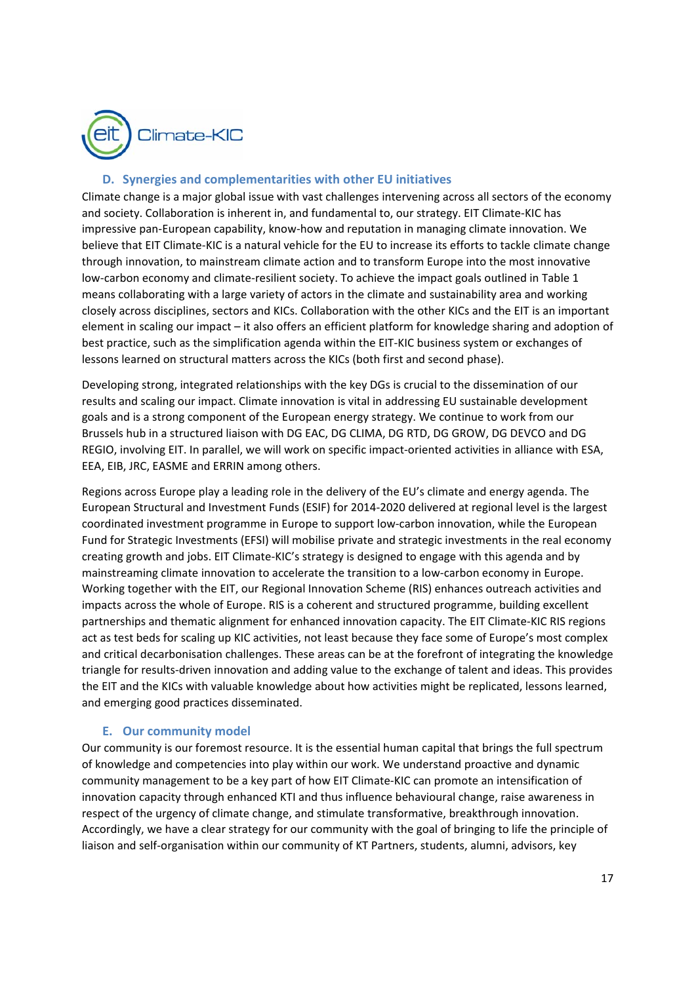

## **D. Synergies and complementarities with other EU initiatives**

Climate change is a major global issue with vast challenges intervening across all sectors of the economy and society. Collaboration is inherent in, and fundamental to, our strategy. EIT Climate‐KIC has impressive pan‐European capability, know‐how and reputation in managing climate innovation. We believe that EIT Climate‐KIC is a natural vehicle for the EU to increase its efforts to tackle climate change through innovation, to mainstream climate action and to transform Europe into the most innovative low‐carbon economy and climate‐resilient society. To achieve the impact goals outlined in Table 1 means collaborating with a large variety of actors in the climate and sustainability area and working closely across disciplines, sectors and KICs. Collaboration with the other KICs and the EIT is an important element in scaling our impact – it also offers an efficient platform for knowledge sharing and adoption of best practice, such as the simplification agenda within the EIT-KIC business system or exchanges of lessons learned on structural matters across the KICs (both first and second phase).

Developing strong, integrated relationships with the key DGs is crucial to the dissemination of our results and scaling our impact. Climate innovation is vital in addressing EU sustainable development goals and is a strong component of the European energy strategy. We continue to work from our Brussels hub in a structured liaison with DG EAC, DG CLIMA, DG RTD, DG GROW, DG DEVCO and DG REGIO, involving EIT. In parallel, we will work on specific impact-oriented activities in alliance with ESA, EEA, EIB, JRC, EASME and ERRIN among others.

Regions across Europe play a leading role in the delivery of the EU's climate and energy agenda. The European Structural and Investment Funds (ESIF) for 2014‐2020 delivered at regional level is the largest coordinated investment programme in Europe to support low‐carbon innovation, while the European Fund for Strategic Investments (EFSI) will mobilise private and strategic investments in the real economy creating growth and jobs. EIT Climate‐KIC's strategy is designed to engage with this agenda and by mainstreaming climate innovation to accelerate the transition to a low-carbon economy in Europe. Working together with the EIT, our Regional Innovation Scheme (RIS) enhances outreach activities and impacts across the whole of Europe. RIS is a coherent and structured programme, building excellent partnerships and thematic alignment for enhanced innovation capacity. The EIT Climate‐KIC RIS regions act as test beds for scaling up KIC activities, not least because they face some of Europe's most complex and critical decarbonisation challenges. These areas can be at the forefront of integrating the knowledge triangle for results‐driven innovation and adding value to the exchange of talent and ideas. This provides the EIT and the KICs with valuable knowledge about how activities might be replicated, lessons learned, and emerging good practices disseminated.

#### **E. Our community model**

Our community is our foremost resource. It is the essential human capital that brings the full spectrum of knowledge and competencies into play within our work. We understand proactive and dynamic community management to be a key part of how EIT Climate‐KIC can promote an intensification of innovation capacity through enhanced KTI and thus influence behavioural change, raise awareness in respect of the urgency of climate change, and stimulate transformative, breakthrough innovation. Accordingly, we have a clear strategy for our community with the goal of bringing to life the principle of liaison and self‐organisation within our community of KT Partners, students, alumni, advisors, key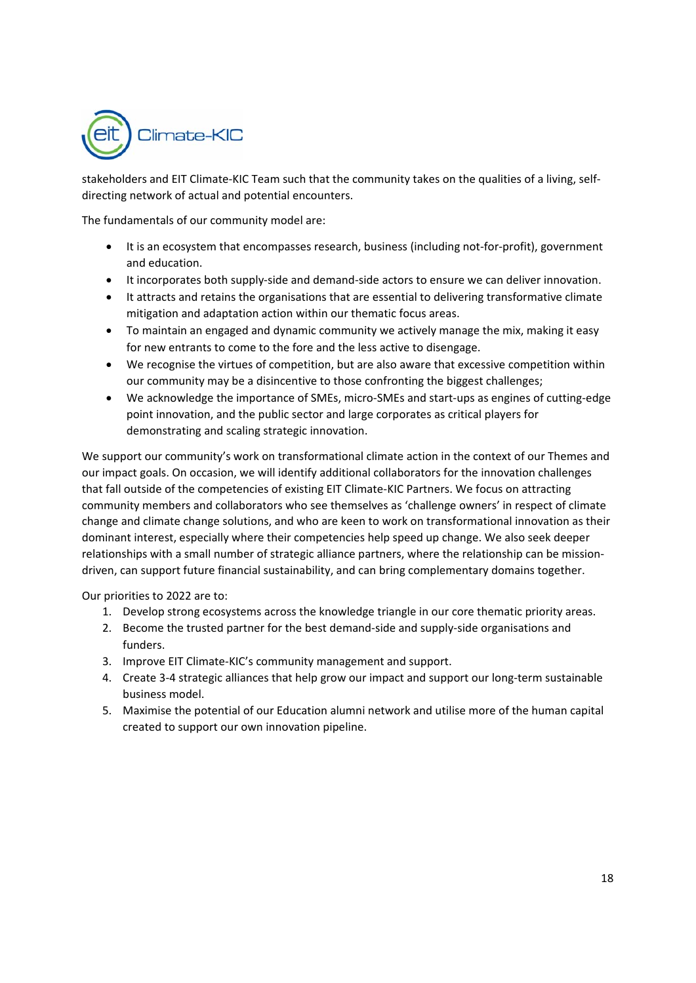

stakeholders and EIT Climate-KIC Team such that the community takes on the qualities of a living, selfdirecting network of actual and potential encounters.

The fundamentals of our community model are:

- It is an ecosystem that encompasses research, business (including not-for-profit), government and education.
- It incorporates both supply-side and demand-side actors to ensure we can deliver innovation.
- It attracts and retains the organisations that are essential to delivering transformative climate mitigation and adaptation action within our thematic focus areas.
- To maintain an engaged and dynamic community we actively manage the mix, making it easy for new entrants to come to the fore and the less active to disengage.
- We recognise the virtues of competition, but are also aware that excessive competition within our community may be a disincentive to those confronting the biggest challenges;
- We acknowledge the importance of SMEs, micro‐SMEs and start‐ups as engines of cutting‐edge point innovation, and the public sector and large corporates as critical players for demonstrating and scaling strategic innovation.

We support our community's work on transformational climate action in the context of our Themes and our impact goals. On occasion, we will identify additional collaborators for the innovation challenges that fall outside of the competencies of existing EIT Climate‐KIC Partners. We focus on attracting community members and collaborators who see themselves as 'challenge owners' in respect of climate change and climate change solutions, and who are keen to work on transformational innovation as their dominant interest, especially where their competencies help speed up change. We also seek deeper relationships with a small number of strategic alliance partners, where the relationship can be mission‐ driven, can support future financial sustainability, and can bring complementary domains together.

Our priorities to 2022 are to:

- 1. Develop strong ecosystems across the knowledge triangle in our core thematic priority areas.
- 2. Become the trusted partner for the best demand-side and supply-side organisations and funders.
- 3. Improve EIT Climate‐KIC's community management and support.
- 4. Create 3-4 strategic alliances that help grow our impact and support our long-term sustainable business model.
- 5. Maximise the potential of our Education alumni network and utilise more of the human capital created to support our own innovation pipeline.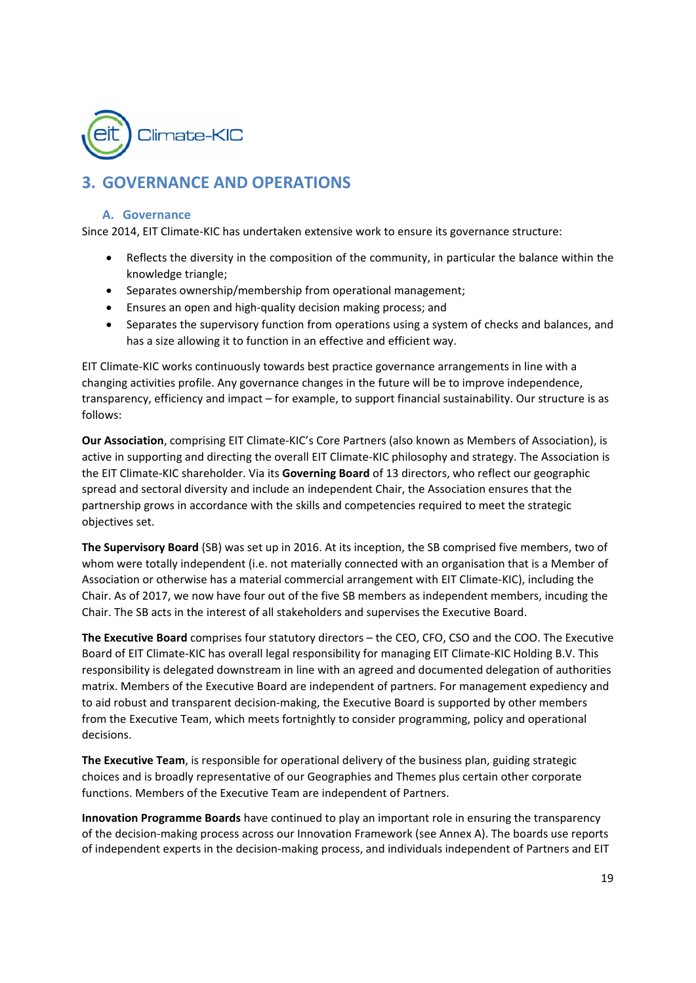

# **3. GOVERNANCE AND OPERATIONS**

## **A. Governance**

Since 2014, EIT Climate‐KIC has undertaken extensive work to ensure its governance structure:

- Reflects the diversity in the composition of the community, in particular the balance within the knowledge triangle;
- Separates ownership/membership from operational management;
- Ensures an open and high‐quality decision making process; and
- Separates the supervisory function from operations using a system of checks and balances, and has a size allowing it to function in an effective and efficient way.

EIT Climate‐KIC works continuously towards best practice governance arrangements in line with a changing activities profile. Any governance changes in the future will be to improve independence, transparency, efficiency and impact – for example, to support financial sustainability. Our structure is as follows:

**Our Association**, comprising EIT Climate‐KIC's Core Partners (also known as Members of Association), is active in supporting and directing the overall EIT Climate‐KIC philosophy and strategy. The Association is the EIT Climate‐KIC shareholder. Via its **Governing Board** of 13 directors, who reflect our geographic spread and sectoral diversity and include an independent Chair, the Association ensures that the partnership grows in accordance with the skills and competencies required to meet the strategic objectives set.

**The Supervisory Board** (SB) was set up in 2016. At its inception, the SB comprised five members, two of whom were totally independent (i.e. not materially connected with an organisation that is a Member of Association or otherwise has a material commercial arrangement with EIT Climate‐KIC), including the Chair. As of 2017, we now have four out of the five SB members as independent members, incuding the Chair. The SB acts in the interest of all stakeholders and supervises the Executive Board.

**The Executive Board** comprises four statutory directors – the CEO, CFO, CSO and the COO. The Executive Board of EIT Climate‐KIC has overall legal responsibility for managing EIT Climate‐KIC Holding B.V. This responsibility is delegated downstream in line with an agreed and documented delegation of authorities matrix. Members of the Executive Board are independent of partners. For management expediency and to aid robust and transparent decision‐making, the Executive Board is supported by other members from the Executive Team, which meets fortnightly to consider programming, policy and operational decisions.

**The Executive Team**, is responsible for operational delivery of the business plan, guiding strategic choices and is broadly representative of our Geographies and Themes plus certain other corporate functions. Members of the Executive Team are independent of Partners.

**Innovation Programme Boards** have continued to play an important role in ensuring the transparency of the decision‐making process across our Innovation Framework (see Annex A). The boards use reports of independent experts in the decision‐making process, and individuals independent of Partners and EIT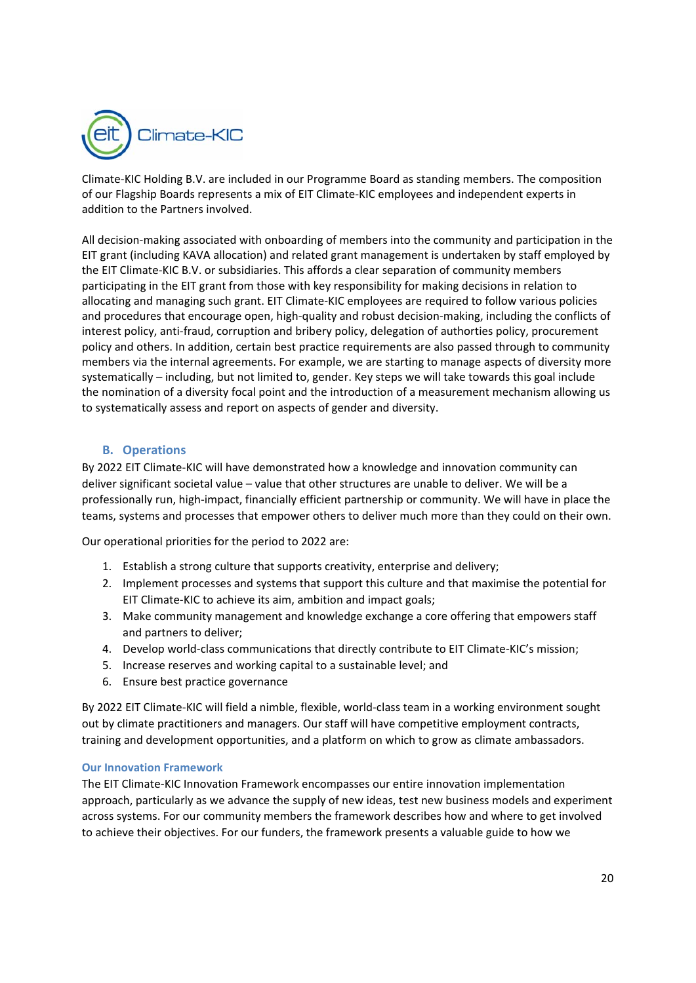

Climate‐KIC Holding B.V. are included in our Programme Board as standing members. The composition of our Flagship Boards represents a mix of EIT Climate‐KIC employees and independent experts in addition to the Partners involved.

All decision‐making associated with onboarding of members into the community and participation in the EIT grant (including KAVA allocation) and related grant management is undertaken by staff employed by the EIT Climate‐KIC B.V. or subsidiaries. This affords a clear separation of community members participating in the EIT grant from those with key responsibility for making decisions in relation to allocating and managing such grant. EIT Climate‐KIC employees are required to follow various policies and procedures that encourage open, high-quality and robust decision-making, including the conflicts of interest policy, anti-fraud, corruption and bribery policy, delegation of authorties policy, procurement policy and others. In addition, certain best practice requirements are also passed through to community members via the internal agreements. For example, we are starting to manage aspects of diversity more systematically – including, but not limited to, gender. Key steps we will take towards this goal include the nomination of a diversity focal point and the introduction of a measurement mechanism allowing us to systematically assess and report on aspects of gender and diversity.

## **B. Operations**

By 2022 EIT Climate‐KIC will have demonstrated how a knowledge and innovation community can deliver significant societal value – value that other structures are unable to deliver. We will be a professionally run, high‐impact, financially efficient partnership or community. We will have in place the teams, systems and processes that empower others to deliver much more than they could on their own.

Our operational priorities for the period to 2022 are:

- 1. Establish a strong culture that supports creativity, enterprise and delivery;
- 2. Implement processes and systems that support this culture and that maximise the potential for EIT Climate‐KIC to achieve its aim, ambition and impact goals;
- 3. Make community management and knowledge exchange a core offering that empowers staff and partners to deliver;
- 4. Develop world-class communications that directly contribute to EIT Climate-KIC's mission;
- 5. Increase reserves and working capital to a sustainable level; and
- 6. Ensure best practice governance

By 2022 EIT Climate‐KIC will field a nimble, flexible, world‐class team in a working environment sought out by climate practitioners and managers. Our staff will have competitive employment contracts, training and development opportunities, and a platform on which to grow as climate ambassadors.

#### **Our Innovation Framework**

The EIT Climate‐KIC Innovation Framework encompasses our entire innovation implementation approach, particularly as we advance the supply of new ideas, test new business models and experiment across systems. For our community members the framework describes how and where to get involved to achieve their objectives. For our funders, the framework presents a valuable guide to how we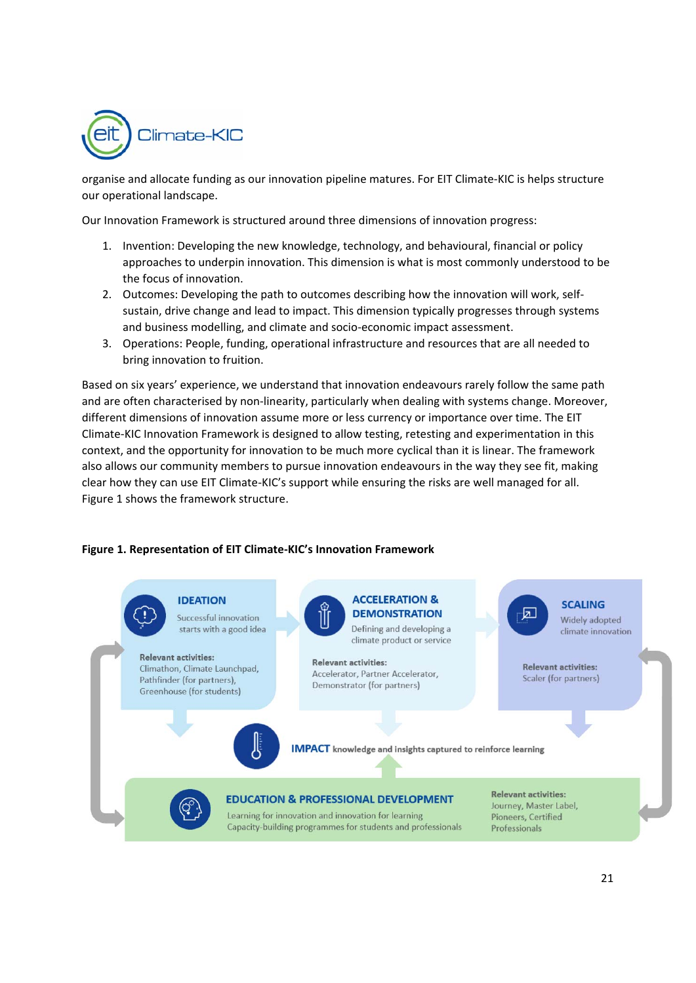

organise and allocate funding as our innovation pipeline matures. For EIT Climate‐KIC is helps structure our operational landscape.

Our Innovation Framework is structured around three dimensions of innovation progress:

- 1. Invention: Developing the new knowledge, technology, and behavioural, financial or policy approaches to underpin innovation. This dimension is what is most commonly understood to be the focus of innovation.
- 2. Outcomes: Developing the path to outcomes describing how the innovation will work, self‐ sustain, drive change and lead to impact. This dimension typically progresses through systems and business modelling, and climate and socio‐economic impact assessment.
- 3. Operations: People, funding, operational infrastructure and resources that are all needed to bring innovation to fruition.

Based on six years' experience, we understand that innovation endeavours rarely follow the same path and are often characterised by non-linearity, particularly when dealing with systems change. Moreover, different dimensions of innovation assume more or less currency or importance over time. The EIT Climate‐KIC Innovation Framework is designed to allow testing, retesting and experimentation in this context, and the opportunity for innovation to be much more cyclical than it is linear. The framework also allows our community members to pursue innovation endeavours in the way they see fit, making clear how they can use EIT Climate‐KIC's support while ensuring the risks are well managed for all. Figure 1 shows the framework structure.

#### **Figure 1. Representation of EIT Climate‐KIC's Innovation Framework**

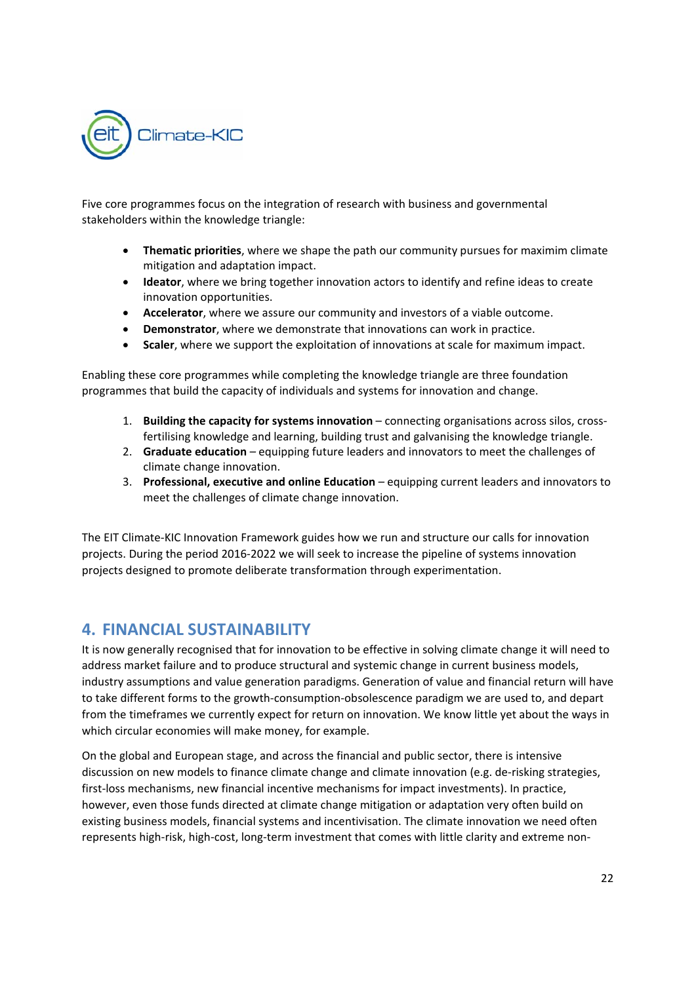

Five core programmes focus on the integration of research with business and governmental stakeholders within the knowledge triangle:

- **Thematic priorities**, where we shape the path our community pursues for maximim climate mitigation and adaptation impact.
- **Ideator**, where we bring together innovation actors to identify and refine ideas to create innovation opportunities.
- **Accelerator**, where we assure our community and investors of a viable outcome.
- **Demonstrator**, where we demonstrate that innovations can work in practice.
- **Scaler**, where we support the exploitation of innovations at scale for maximum impact.

Enabling these core programmes while completing the knowledge triangle are three foundation programmes that build the capacity of individuals and systems for innovation and change.

- 1. **Building the capacity for systems innovation** connecting organisations across silos, cross‐ fertilising knowledge and learning, building trust and galvanising the knowledge triangle.
- 2. **Graduate education**equipping future leaders and innovators to meet the challenges of climate change innovation.
- 3. **Professional, executive and online Education**equipping current leaders and innovators to meet the challenges of climate change innovation.

The EIT Climate‐KIC Innovation Framework guides how we run and structure our calls for innovation projects. During the period 2016‐2022 we will seek to increase the pipeline of systems innovation projects designed to promote deliberate transformation through experimentation.

## **4. FINANCIAL SUSTAINABILITY**

It is now generally recognised that for innovation to be effective in solving climate change it will need to address market failure and to produce structural and systemic change in current business models, industry assumptions and value generation paradigms. Generation of value and financial return will have to take different forms to the growth‐consumption‐obsolescence paradigm we are used to, and depart from the timeframes we currently expect for return on innovation. We know little yet about the ways in which circular economies will make money, for example.

On the global and European stage, and across the financial and public sector, there is intensive discussion on new models to finance climate change and climate innovation (e.g. de‐risking strategies, first-loss mechanisms, new financial incentive mechanisms for impact investments). In practice, however, even those funds directed at climate change mitigation or adaptation very often build on existing business models, financial systems and incentivisation. The climate innovation we need often represents high-risk, high-cost, long-term investment that comes with little clarity and extreme non-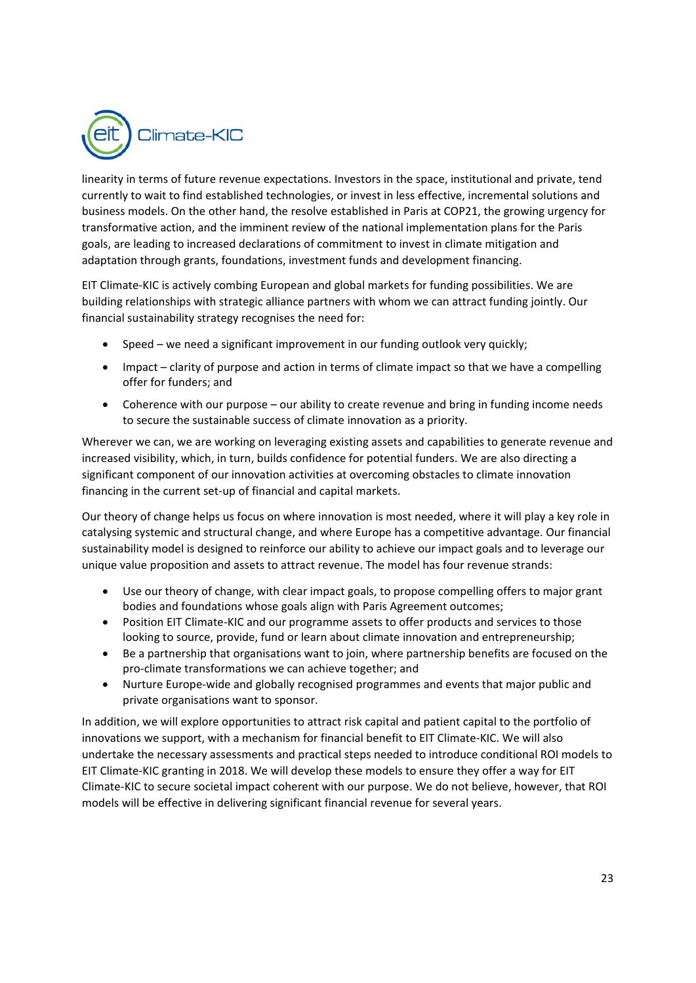

linearity in terms of future revenue expectations. Investors in the space, institutional and private, tend currently to wait to find established technologies, or invest in less effective, incremental solutions and business models. On the other hand, the resolve established in Paris at COP21, the growing urgency for transformative action, and the imminent review of the national implementation plans for the Paris goals, are leading to increased declarations of commitment to invest in climate mitigation and adaptation through grants, foundations, investment funds and development financing.

EIT Climate‐KIC is actively combing European and global markets for funding possibilities. We are building relationships with strategic alliance partners with whom we can attract funding jointly. Our financial sustainability strategy recognises the need for:

- Speed we need a significant improvement in our funding outlook very quickly;
- Impact clarity of purpose and action in terms of climate impact so that we have a compelling offer for funders; and
- Coherence with our purpose our ability to create revenue and bring in funding income needs to secure the sustainable success of climate innovation as a priority.

Wherever we can, we are working on leveraging existing assets and capabilities to generate revenue and increased visibility, which, in turn, builds confidence for potential funders. We are also directing a significant component of our innovation activities at overcoming obstacles to climate innovation financing in the current set‐up of financial and capital markets.

Our theory of change helps us focus on where innovation is most needed, where it will play a key role in catalysing systemic and structural change, and where Europe has a competitive advantage. Our financial sustainability model is designed to reinforce our ability to achieve our impact goals and to leverage our unique value proposition and assets to attract revenue. The model has four revenue strands:

- Use our theory of change, with clear impact goals, to propose compelling offers to major grant bodies and foundations whose goals align with Paris Agreement outcomes;
- Position EIT Climate-KIC and our programme assets to offer products and services to those looking to source, provide, fund or learn about climate innovation and entrepreneurship;
- Be a partnership that organisations want to join, where partnership benefits are focused on the pro‐climate transformations we can achieve together; and
- Nurture Europe-wide and globally recognised programmes and events that major public and private organisations want to sponsor.

In addition, we will explore opportunities to attract risk capital and patient capital to the portfolio of innovations we support, with a mechanism for financial benefit to EIT Climate‐KIC. We will also undertake the necessary assessments and practical steps needed to introduce conditional ROI models to EIT Climate‐KIC granting in 2018. We will develop these models to ensure they offer a way for EIT Climate‐KIC to secure societal impact coherent with our purpose. We do not believe, however, that ROI models will be effective in delivering significant financial revenue for several years.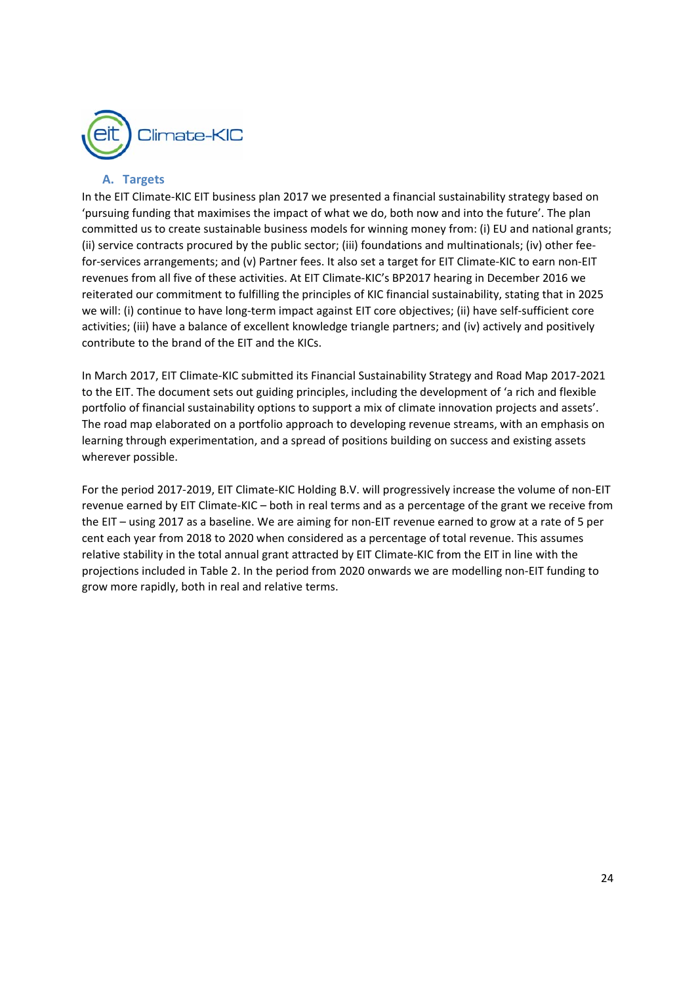

## **A. Targets**

In the EIT Climate‐KIC EIT business plan 2017 we presented a financial sustainability strategy based on 'pursuing funding that maximises the impact of what we do, both now and into the future'. The plan committed us to create sustainable business models for winning money from: (i) EU and national grants; (ii) service contracts procured by the public sector; (iii) foundations and multinationals; (iv) other fee‐ for-services arrangements; and (v) Partner fees. It also set a target for EIT Climate-KIC to earn non-EIT revenues from all five of these activities. At EIT Climate‐KIC's BP2017 hearing in December 2016 we reiterated our commitment to fulfilling the principles of KIC financial sustainability, stating that in 2025 we will: (i) continue to have long-term impact against EIT core objectives; (ii) have self-sufficient core activities; (iii) have a balance of excellent knowledge triangle partners; and (iv) actively and positively contribute to the brand of the EIT and the KICs.

In March 2017, EIT Climate‐KIC submitted its Financial Sustainability Strategy and Road Map 2017‐2021 to the EIT. The document sets out guiding principles, including the development of 'a rich and flexible portfolio of financial sustainability options to support a mix of climate innovation projects and assets'. The road map elaborated on a portfolio approach to developing revenue streams, with an emphasis on learning through experimentation, and a spread of positions building on success and existing assets wherever possible.

For the period 2017‐2019, EIT Climate‐KIC Holding B.V. will progressively increase the volume of non‐EIT revenue earned by EIT Climate‐KIC – both in real terms and as a percentage of the grant we receive from the EIT – using 2017 as a baseline. We are aiming for non‐EIT revenue earned to grow at a rate of 5 per cent each year from 2018 to 2020 when considered as a percentage of total revenue. This assumes relative stability in the total annual grant attracted by EIT Climate‐KIC from the EIT in line with the projections included in Table 2. In the period from 2020 onwards we are modelling non‐EIT funding to grow more rapidly, both in real and relative terms.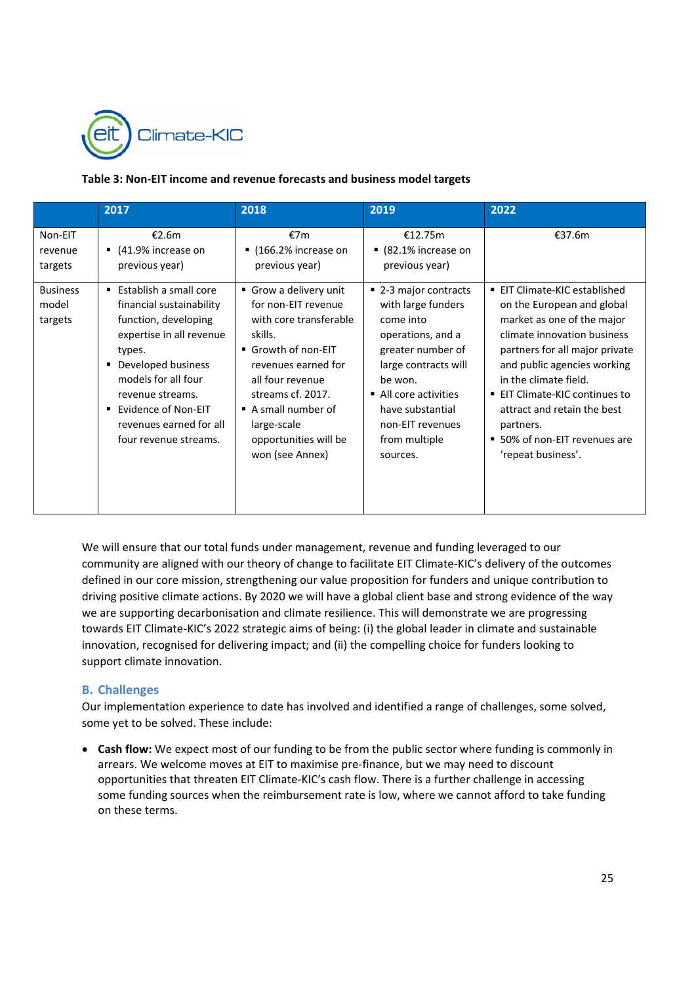

#### **Table 3: Non‐EIT income and revenue forecasts and business model targets**

|                                     | 2017                                                                                                                                                                                                                                                                     | 2018                                                                                                                                                                                                                                                    | 2019                                                                                                                                                                                                                              | 2022                                                                                                                                                                                                                                                                                                                                                         |
|-------------------------------------|--------------------------------------------------------------------------------------------------------------------------------------------------------------------------------------------------------------------------------------------------------------------------|---------------------------------------------------------------------------------------------------------------------------------------------------------------------------------------------------------------------------------------------------------|-----------------------------------------------------------------------------------------------------------------------------------------------------------------------------------------------------------------------------------|--------------------------------------------------------------------------------------------------------------------------------------------------------------------------------------------------------------------------------------------------------------------------------------------------------------------------------------------------------------|
| Non-EIT<br>revenue<br>targets       | €2.6m<br>$(41.9\%$ increase on<br>previous year)                                                                                                                                                                                                                         | €7m<br>$(166.2\%$ increase on<br>previous year)                                                                                                                                                                                                         | €12.75m<br>■ (82.1% increase on<br>previous year)                                                                                                                                                                                 | €37.6m                                                                                                                                                                                                                                                                                                                                                       |
| <b>Business</b><br>model<br>targets | ■ Establish a small core<br>financial sustainability<br>function, developing<br>expertise in all revenue<br>types.<br>Developed business<br>٠<br>models for all four<br>revenue streams.<br>Evidence of Non-EIT<br>٠<br>revenues earned for all<br>four revenue streams. | Grow a delivery unit<br>for non-EIT revenue<br>with core transferable<br>skills.<br>■ Growth of non-EIT<br>revenues earned for<br>all four revenue<br>streams cf. 2017.<br>A small number of<br>large-scale<br>opportunities will be<br>won (see Annex) | ■ 2-3 major contracts<br>with large funders<br>come into<br>operations, and a<br>greater number of<br>large contracts will<br>be won.<br>All core activities<br>have substantial<br>non-EIT revenues<br>from multiple<br>sources. | <b>EIT Climate-KIC established</b><br>on the European and global<br>market as one of the major<br>climate innovation business<br>partners for all major private<br>and public agencies working<br>in the climate field.<br>■ EIT Climate-KIC continues to<br>attract and retain the best<br>partners.<br>■ 50% of non-EIT revenues are<br>'repeat business'. |

We will ensure that our total funds under management, revenue and funding leveraged to our community are aligned with our theory of change to facilitate EIT Climate‐KIC's delivery of the outcomes defined in our core mission, strengthening our value proposition for funders and unique contribution to driving positive climate actions. By 2020 we will have a global client base and strong evidence of the way we are supporting decarbonisation and climate resilience. This will demonstrate we are progressing towards EIT Climate‐KIC's 2022 strategic aims of being: (i) the global leader in climate and sustainable innovation, recognised for delivering impact; and (ii) the compelling choice for funders looking to support climate innovation.

## **B. Challenges**

Our implementation experience to date has involved and identified a range of challenges, some solved, some yet to be solved. These include:

 **Cash flow:** We expect most of our funding to be from the public sector where funding is commonly in arrears. We welcome moves at EIT to maximise pre‐finance, but we may need to discount opportunities that threaten EIT Climate‐KIC's cash flow. There is a further challenge in accessing some funding sources when the reimbursement rate is low, where we cannot afford to take funding on these terms.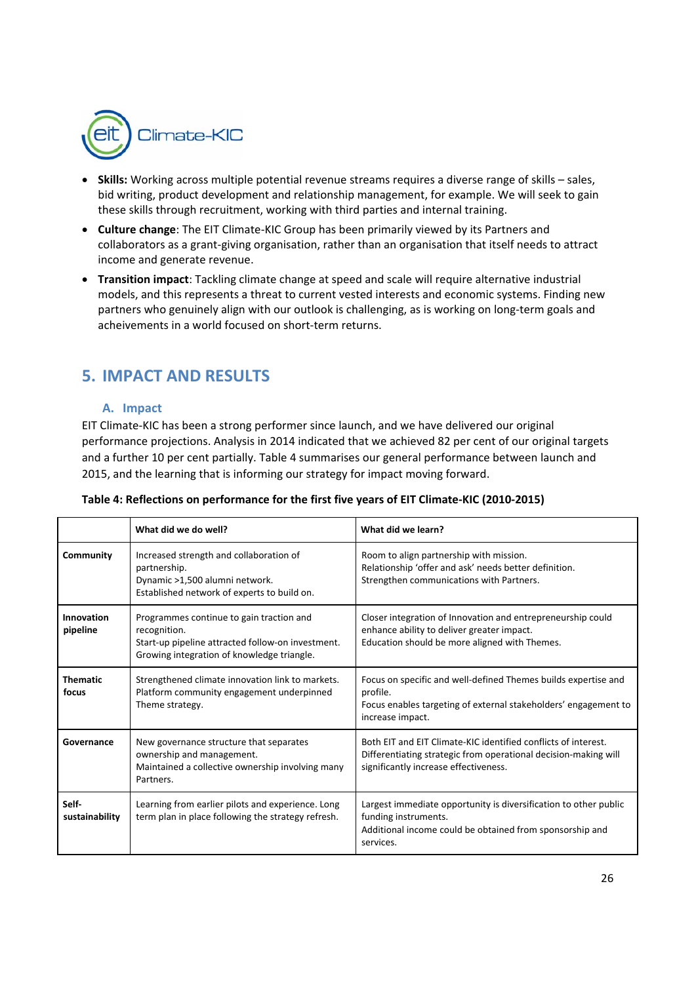

- **Skills:** Working across multiple potential revenue streams requires a diverse range of skills sales, bid writing, product development and relationship management, for example. We will seek to gain these skills through recruitment, working with third parties and internal training.
- **Culture change**: The EIT Climate‐KIC Group has been primarily viewed by its Partners and collaborators as a grant‐giving organisation, rather than an organisation that itself needs to attract income and generate revenue.
- **Transition impact**: Tackling climate change at speed and scale will require alternative industrial models, and this represents a threat to current vested interests and economic systems. Finding new partners who genuinely align with our outlook is challenging, as is working on long-term goals and acheivements in a world focused on short‐term returns.

# **5. IMPACT AND RESULTS**

## **A. Impact**

EIT Climate‐KIC has been a strong performer since launch, and we have delivered our original performance projections. Analysis in 2014 indicated that we achieved 82 per cent of our original targets and a further 10 per cent partially. Table 4 summarises our general performance between launch and 2015, and the learning that is informing our strategy for impact moving forward.

|                          | What did we do well?                                                                                                                                        | What did we learn?                                                                                                                                                         |
|--------------------------|-------------------------------------------------------------------------------------------------------------------------------------------------------------|----------------------------------------------------------------------------------------------------------------------------------------------------------------------------|
| Community                | Increased strength and collaboration of<br>partnership.<br>Dynamic >1,500 alumni network.<br>Established network of experts to build on.                    | Room to align partnership with mission.<br>Relationship 'offer and ask' needs better definition.<br>Strengthen communications with Partners.                               |
| Innovation<br>pipeline   | Programmes continue to gain traction and<br>recognition.<br>Start-up pipeline attracted follow-on investment.<br>Growing integration of knowledge triangle. | Closer integration of Innovation and entrepreneurship could<br>enhance ability to deliver greater impact.<br>Education should be more aligned with Themes.                 |
| <b>Thematic</b><br>focus | Strengthened climate innovation link to markets.<br>Platform community engagement underpinned<br>Theme strategy.                                            | Focus on specific and well-defined Themes builds expertise and<br>profile.<br>Focus enables targeting of external stakeholders' engagement to<br>increase impact.          |
| Governance               | New governance structure that separates<br>ownership and management.<br>Maintained a collective ownership involving many<br>Partners.                       | Both EIT and EIT Climate-KIC identified conflicts of interest.<br>Differentiating strategic from operational decision-making will<br>significantly increase effectiveness. |
| Self-<br>sustainability  | Learning from earlier pilots and experience. Long<br>term plan in place following the strategy refresh.                                                     | Largest immediate opportunity is diversification to other public<br>funding instruments.<br>Additional income could be obtained from sponsorship and<br>services.          |

|  |  |  | Table 4: Reflections on performance for the first five years of EIT Climate-KIC (2010-2015) |  |
|--|--|--|---------------------------------------------------------------------------------------------|--|
|  |  |  |                                                                                             |  |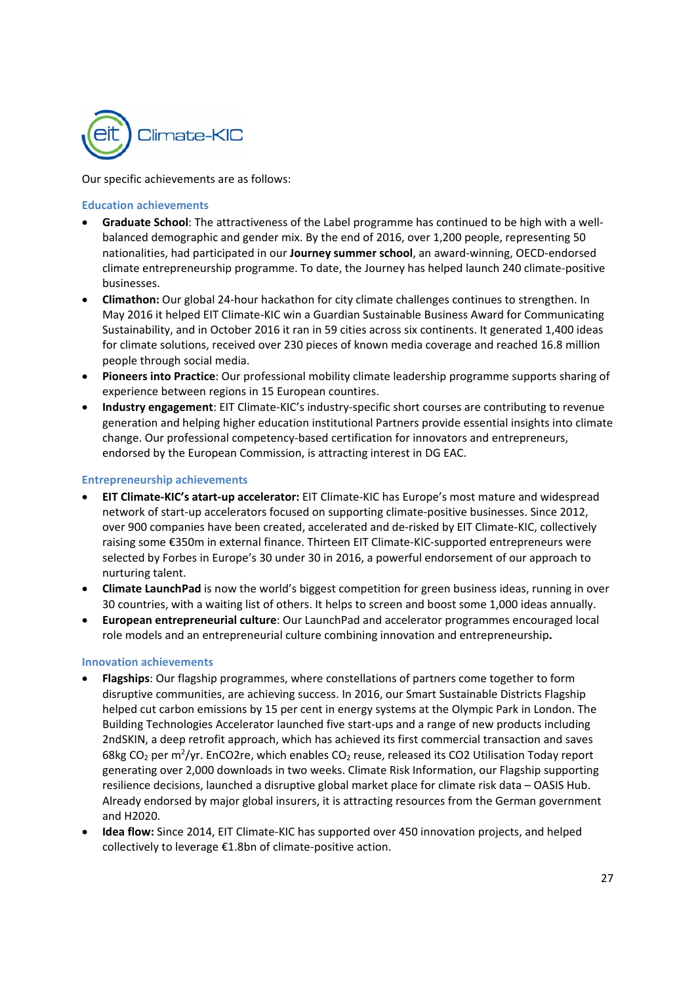

Our specific achievements are as follows:

#### **Education achievements**

- **Graduate School**: The attractiveness of the Label programme has continued to be high with a well‐ balanced demographic and gender mix. By the end of 2016, over 1,200 people, representing 50 nationalities, had participated in our **Journey summer school**, an award‐winning, OECD‐endorsed climate entrepreneurship programme. To date, the Journey has helped launch 240 climate‐positive businesses.
- **Climathon:** Our global 24‐hour hackathon for city climate challenges continues to strengthen. In May 2016 it helped EIT Climate‐KIC win a Guardian Sustainable Business Award for Communicating Sustainability, and in October 2016 it ran in 59 cities across six continents. It generated 1,400 ideas for climate solutions, received over 230 pieces of known media coverage and reached 16.8 million people through social media.
- **Pioneers into Practice**: Our professional mobility climate leadership programme supports sharing of experience between regions in 15 European countires.
- **Industry engagement**: EIT Climate‐KIC's industry‐specific short courses are contributing to revenue generation and helping higher education institutional Partners provide essential insights into climate change. Our professional competency‐based certification for innovators and entrepreneurs, endorsed by the European Commission, is attracting interest in DG EAC.

#### **Entrepreneurship achievements**

- **EIT Climate‐KIC's atart‐up accelerator:** EIT Climate‐KIC has Europe's most mature and widespread network of start-up accelerators focused on supporting climate-positive businesses. Since 2012, over 900 companies have been created, accelerated and de‐risked by EIT Climate‐KIC, collectively raising some €350m in external finance. Thirteen EIT Climate‐KIC‐supported entrepreneurs were selected by Forbes in Europe's 30 under 30 in 2016, a powerful endorsement of our approach to nurturing talent.
- **Climate LaunchPad** is now the world's biggest competition for green business ideas, running in over 30 countries, with a waiting list of others. It helps to screen and boost some 1,000 ideas annually.
- **European entrepreneurial culture**: Our LaunchPad and accelerator programmes encouraged local role models and an entrepreneurial culture combining innovation and entrepreneurship**.**

#### **Innovation achievements**

- **Flagships**: Our flagship programmes, where constellations of partners come together to form disruptive communities, are achieving success. In 2016, our Smart Sustainable Districts Flagship helped cut carbon emissions by 15 per cent in energy systems at the Olympic Park in London. The Building Technologies Accelerator launched five start‐ups and a range of new products including 2ndSKIN, a deep retrofit approach, which has achieved its first commercial transaction and saves 68kg CO<sub>2</sub> per m<sup>2</sup>/yr. EnCO2re, which enables CO<sub>2</sub> reuse, released its CO2 Utilisation Today report generating over 2,000 downloads in two weeks. Climate Risk Information, our Flagship supporting resilience decisions, launched a disruptive global market place for climate risk data – OASIS Hub. Already endorsed by major global insurers, it is attracting resources from the German government and H2020.
- **Idea flow:** Since 2014, EIT Climate‐KIC has supported over 450 innovation projects, and helped collectively to leverage €1.8bn of climate‐positive action.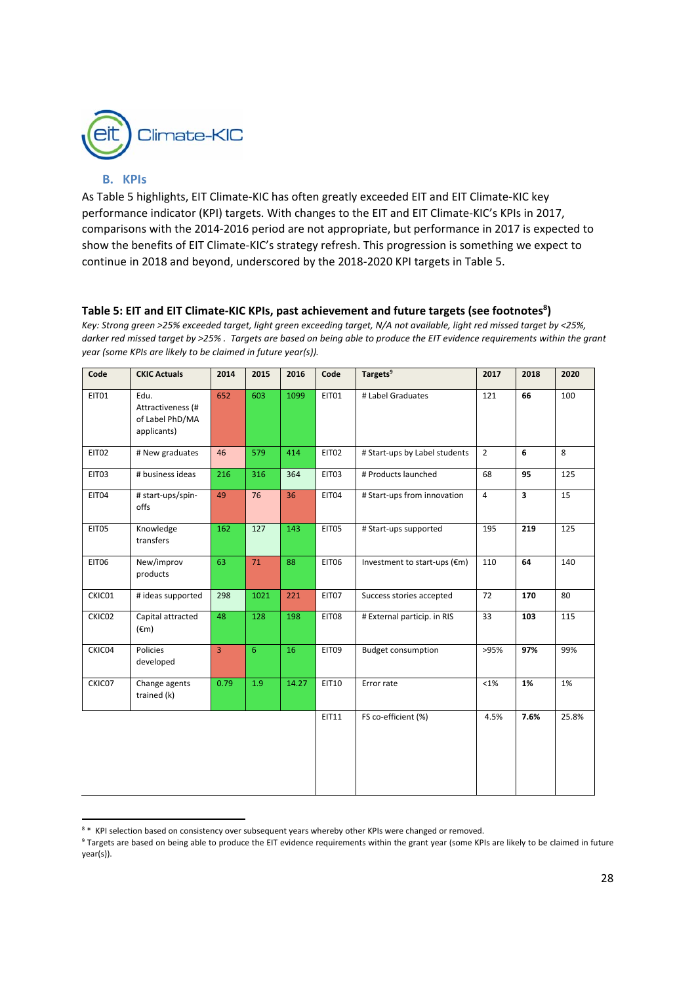

### **B. KPIs**

As Table 5 highlights, EIT Climate‐KIC has often greatly exceeded EIT and EIT Climate‐KIC key performance indicator (KPI) targets. With changes to the EIT and EIT Climate-KIC's KPIs in 2017, comparisons with the 2014‐2016 period are not appropriate, but performance in 2017 is expected to show the benefits of EIT Climate-KIC's strategy refresh. This progression is something we expect to continue in 2018 and beyond, underscored by the 2018‐2020 KPI targets in Table 5.

## Table 5: EIT and EIT Climate-KIC KPIs, past achievement and future targets (see footnotes<sup>8</sup>)

*Key: Strong green >25% exceeded target, light green exceeding target, N/A not available, light red missed target by <25%, darker red missed target by >25% . Targets are based on being able to produce the EIT evidence requirements within the grant year (some KPIs are likely to be claimed in future year(s)).* 

| Code         | <b>CKIC Actuals</b>                                         | 2014           | 2015           | 2016  | Code         | Targets <sup>9</sup>          | 2017           | 2018         | 2020  |
|--------------|-------------------------------------------------------------|----------------|----------------|-------|--------------|-------------------------------|----------------|--------------|-------|
| EIT01        | Edu.<br>Attractiveness (#<br>of Label PhD/MA<br>applicants) | 652            | 603            | 1099  | EIT01        | # Label Graduates             | 121            | 66           | 100   |
| EIT02        | # New graduates                                             | 46             | 579            | 414   | EIT02        | # Start-ups by Label students | $\overline{2}$ | 6            | 8     |
| EIT03        | # business ideas                                            | 216            | 316            | 364   | EIT03        | # Products launched           | 68             | 95           | 125   |
| EIT04        | # start-ups/spin-<br>offs                                   | 49             | 76             | 36    | EIT04        | # Start-ups from innovation   | $\overline{4}$ | $\mathbf{3}$ | 15    |
| EIT05        | Knowledge<br>transfers                                      | 162            | 127            | 143   | EIT05        | # Start-ups supported         | 195            | 219          | 125   |
| <b>EIT06</b> | New/improv<br>products                                      | 63             | 71             | 88    | EIT06        | Investment to start-ups (€m)  | 110            | 64           | 140   |
| CKIC01       | # ideas supported                                           | 298            | 1021           | 221   | EIT07        | Success stories accepted      | 72             | 170          | 80    |
| CKIC02       | Capital attracted<br>$(\epsilon m)$                         | 48             | 128            | 198   | EIT08        | # External particip. in RIS   | 33             | 103          | 115   |
| CKIC04       | Policies<br>developed                                       | $\overline{3}$ | 6 <sup>1</sup> | 16    | EIT09        | <b>Budget consumption</b>     | >95%           | 97%          | 99%   |
| CKIC07       | Change agents<br>trained (k)                                | 0.79           | 1.9            | 14.27 | <b>EIT10</b> | Error rate                    | <1%            | 1%           | 1%    |
|              |                                                             |                |                |       | EIT11        | FS co-efficient (%)           | 4.5%           | 7.6%         | 25.8% |

 <sup>8</sup> \* KPI selection based on consistency over subsequent years whereby other KPIs were changed or removed.

<sup>&</sup>lt;sup>9</sup> Targets are based on being able to produce the EIT evidence requirements within the grant year (some KPIs are likely to be claimed in future year(s)).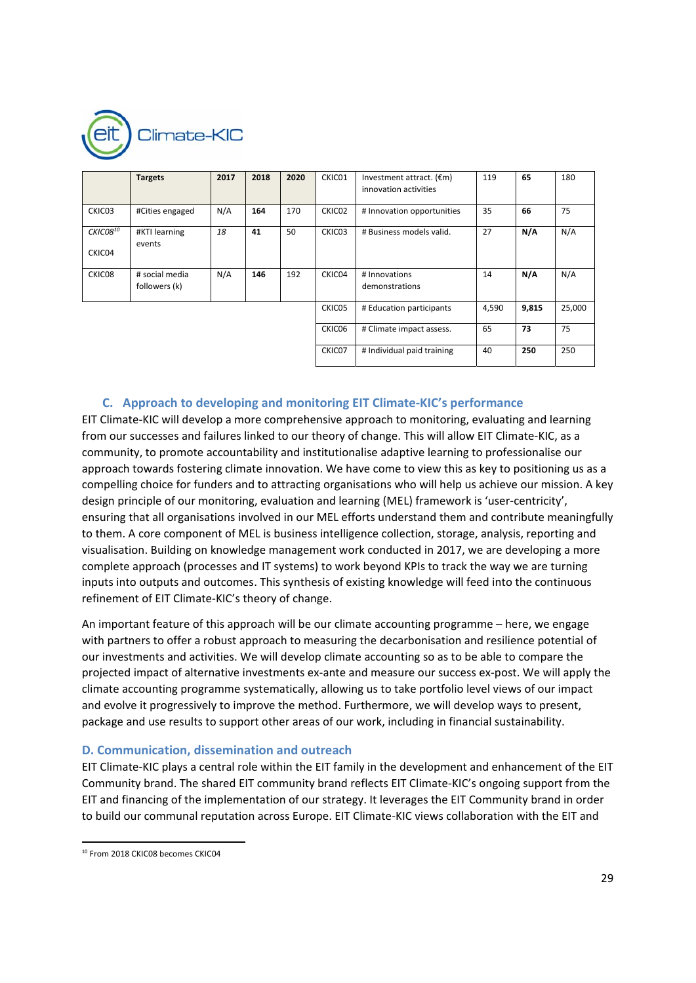

|                    | <b>Targets</b>                  | 2017 | 2018 | 2020 | CKIC01 | Investment attract. $(\epsilon m)$<br>innovation activities | 119   | 65    | 180    |
|--------------------|---------------------------------|------|------|------|--------|-------------------------------------------------------------|-------|-------|--------|
| CKIC03             | #Cities engaged                 | N/A  | 164  | 170  | CKIC02 | # Innovation opportunities                                  | 35    | 66    | 75     |
| CKIC0810<br>CKIC04 | #KTI learning<br>events         | 18   | 41   | 50   | CKIC03 | # Business models valid.                                    | 27    | N/A   | N/A    |
| CKIC08             | # social media<br>followers (k) | N/A  | 146  | 192  | CKIC04 | # Innovations<br>demonstrations                             | 14    | N/A   | N/A    |
|                    |                                 |      |      |      | CKIC05 | # Education participants                                    | 4,590 | 9,815 | 25,000 |
|                    |                                 |      |      |      | CKIC06 | # Climate impact assess.                                    | 65    | 73    | 75     |
|                    |                                 |      |      |      | CKIC07 | # Individual paid training                                  | 40    | 250   | 250    |

## **C. Approach to developing and monitoring EIT Climate‐KIC's performance**

EIT Climate‐KIC will develop a more comprehensive approach to monitoring, evaluating and learning from our successes and failures linked to our theory of change. This will allow EIT Climate-KIC, as a community, to promote accountability and institutionalise adaptive learning to professionalise our approach towards fostering climate innovation. We have come to view this as key to positioning us as a compelling choice for funders and to attracting organisations who will help us achieve our mission. A key design principle of our monitoring, evaluation and learning (MEL) framework is 'user‐centricity', ensuring that all organisations involved in our MEL efforts understand them and contribute meaningfully to them. A core component of MEL is business intelligence collection, storage, analysis, reporting and visualisation. Building on knowledge management work conducted in 2017, we are developing a more complete approach (processes and IT systems) to work beyond KPIs to track the way we are turning inputs into outputs and outcomes. This synthesis of existing knowledge will feed into the continuous refinement of EIT Climate‐KIC's theory of change.

An important feature of this approach will be our climate accounting programme – here, we engage with partners to offer a robust approach to measuring the decarbonisation and resilience potential of our investments and activities. We will develop climate accounting so as to be able to compare the projected impact of alternative investments ex‐ante and measure our success ex‐post. We will apply the climate accounting programme systematically, allowing us to take portfolio level views of our impact and evolve it progressively to improve the method. Furthermore, we will develop ways to present, package and use results to support other areas of our work, including in financial sustainability.

#### **D. Communication, dissemination and outreach**

EIT Climate‐KIC plays a central role within the EIT family in the development and enhancement of the EIT Community brand. The shared EIT community brand reflects EIT Climate‐KIC's ongoing support from the EIT and financing of the implementation of our strategy. It leverages the EIT Community brand in order to build our communal reputation across Europe. EIT Climate‐KIC views collaboration with the EIT and

<sup>&</sup>lt;sup>10</sup> From 2018 CKIC08 becomes CKIC04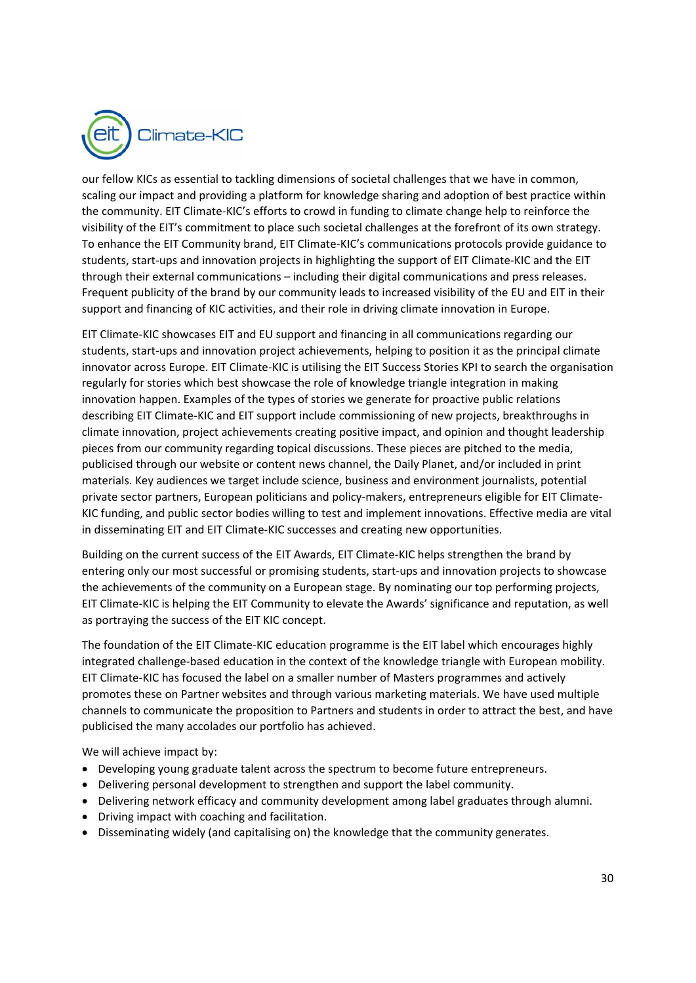

our fellow KICs as essential to tackling dimensions of societal challenges that we have in common, scaling our impact and providing a platform for knowledge sharing and adoption of best practice within the community. EIT Climate‐KIC's efforts to crowd in funding to climate change help to reinforce the visibility of the EIT's commitment to place such societal challenges at the forefront of its own strategy. To enhance the EIT Community brand, EIT Climate‐KIC's communications protocols provide guidance to students, start-ups and innovation projects in highlighting the support of EIT Climate-KIC and the EIT through their external communications – including their digital communications and press releases. Frequent publicity of the brand by our community leads to increased visibility of the EU and EIT in their support and financing of KIC activities, and their role in driving climate innovation in Europe.

EIT Climate‐KIC showcases EIT and EU support and financing in all communications regarding our students, start-ups and innovation project achievements, helping to position it as the principal climate innovator across Europe. EIT Climate‐KIC is utilising the EIT Success Stories KPI to search the organisation regularly for stories which best showcase the role of knowledge triangle integration in making innovation happen. Examples of the types of stories we generate for proactive public relations describing EIT Climate‐KIC and EIT support include commissioning of new projects, breakthroughs in climate innovation, project achievements creating positive impact, and opinion and thought leadership pieces from our community regarding topical discussions. These pieces are pitched to the media, publicised through our website or content news channel, the Daily Planet, and/or included in print materials. Key audiences we target include science, business and environment journalists, potential private sector partners, European politicians and policy-makers, entrepreneurs eligible for EIT Climate-KIC funding, and public sector bodies willing to test and implement innovations. Effective media are vital in disseminating EIT and EIT Climate‐KIC successes and creating new opportunities.

Building on the current success of the EIT Awards, EIT Climate‐KIC helps strengthen the brand by entering only our most successful or promising students, start-ups and innovation projects to showcase the achievements of the community on a European stage. By nominating our top performing projects, EIT Climate‐KIC is helping the EIT Community to elevate the Awards' significance and reputation, as well as portraying the success of the EIT KIC concept.

The foundation of the EIT Climate‐KIC education programme is the EIT label which encourages highly integrated challenge‐based education in the context of the knowledge triangle with European mobility. EIT Climate‐KIC has focused the label on a smaller number of Masters programmes and actively promotes these on Partner websites and through various marketing materials. We have used multiple channels to communicate the proposition to Partners and students in order to attract the best, and have publicised the many accolades our portfolio has achieved.

We will achieve impact by:

- Developing young graduate talent across the spectrum to become future entrepreneurs.
- Delivering personal development to strengthen and support the label community.
- Delivering network efficacy and community development among label graduates through alumni.
- Driving impact with coaching and facilitation.
- Disseminating widely (and capitalising on) the knowledge that the community generates.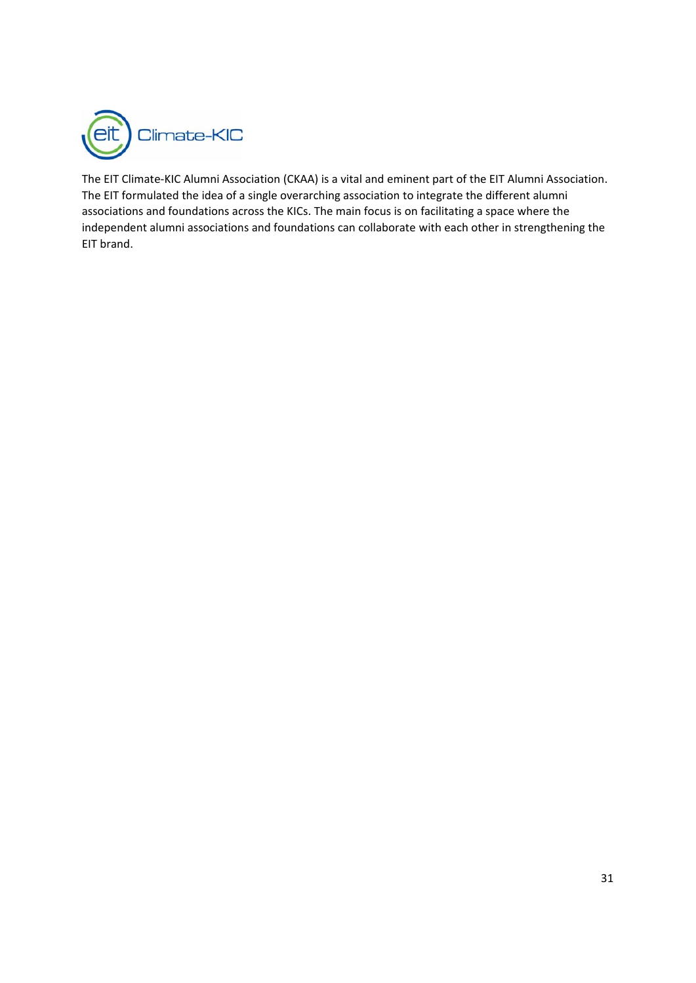

The EIT Climate‐KIC Alumni Association (CKAA) is a vital and eminent part of the EIT Alumni Association. The EIT formulated the idea of a single overarching association to integrate the different alumni associations and foundations across the KICs. The main focus is on facilitating a space where the independent alumni associations and foundations can collaborate with each other in strengthening the EIT brand.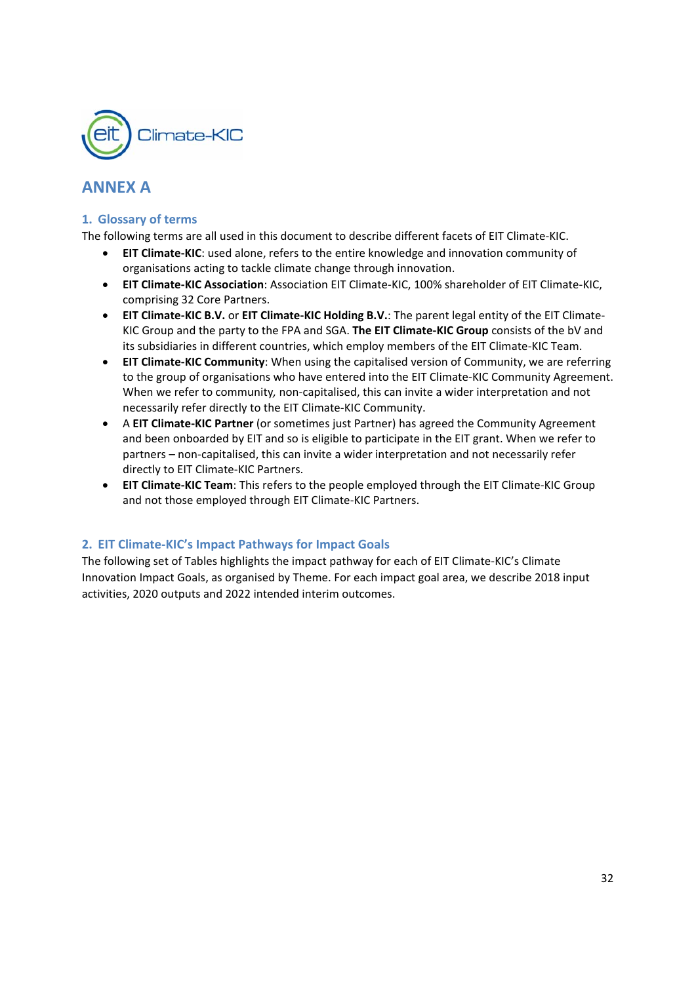

## **ANNEX A**

## **1. Glossary of terms**

The following terms are all used in this document to describe different facets of EIT Climate‐KIC.

- **EIT Climate‐KIC**: used alone, refers to the entire knowledge and innovation community of organisations acting to tackle climate change through innovation.
- **EIT Climate‐KIC Association**: Association EIT Climate‐KIC, 100% shareholder of EIT Climate‐KIC, comprising 32 Core Partners.
- **EIT Climate‐KIC B.V.** or **EIT Climate‐KIC Holding B.V.**: The parent legal entity of the EIT Climate‐ KIC Group and the party to the FPA and SGA. **The EIT Climate‐KIC Group** consists of the bV and its subsidiaries in different countries, which employ members of the EIT Climate‐KIC Team.
- **EIT Climate-KIC Community**: When using the capitalised version of Community, we are referring to the group of organisations who have entered into the EIT Climate‐KIC Community Agreement. When we refer to community*,* non‐capitalised, this can invite a wider interpretation and not necessarily refer directly to the EIT Climate‐KIC Community.
- A **EIT Climate‐KIC Partner** (or sometimes just Partner) has agreed the Community Agreement and been onboarded by EIT and so is eligible to participate in the EIT grant. When we refer to partners – non-capitalised, this can invite a wider interpretation and not necessarily refer directly to EIT Climate‐KIC Partners.
- **EIT Climate‐KIC Team**: This refers to the people employed through the EIT Climate‐KIC Group and not those employed through EIT Climate‐KIC Partners.

## **2. EIT Climate‐KIC's Impact Pathways for Impact Goals**

The following set of Tables highlights the impact pathway for each of EIT Climate‐KIC's Climate Innovation Impact Goals, as organised by Theme. For each impact goal area, we describe 2018 input activities, 2020 outputs and 2022 intended interim outcomes.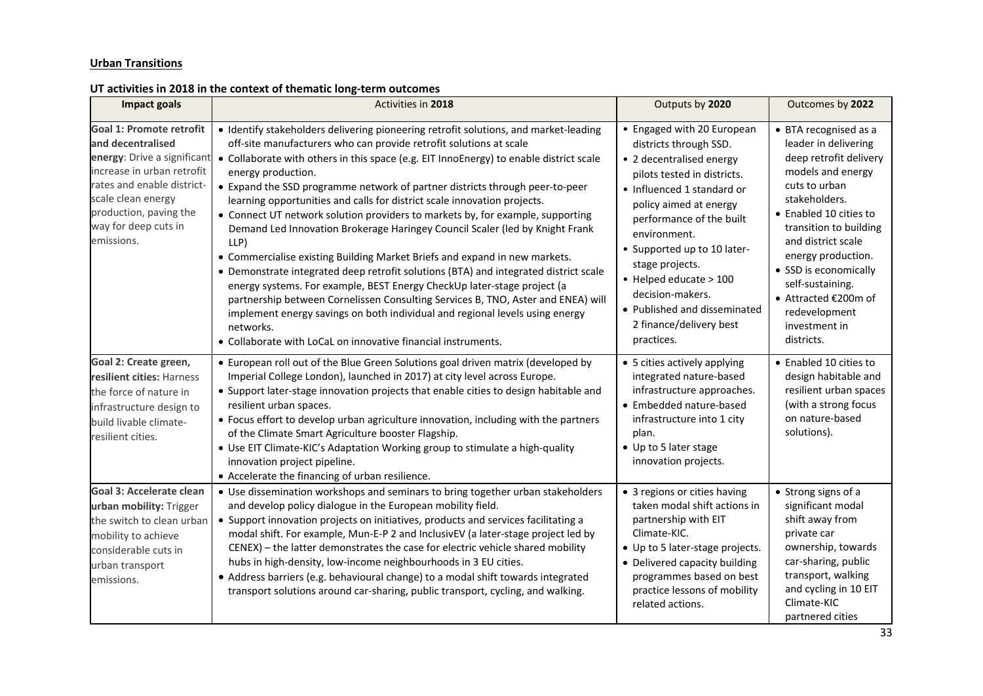#### **Urban Transitions**

## **UT activities in 2018 in the context of thematic long‐term outcomes**

| <b>Impact goals</b>                                                                                                                                                                                                            | Activities in 2018                                                                                                                                                                                                                                                                                                                                                                                                                                                                                                                                                                                                                                                                                                                                                                                                                                                                                                                                                                                                                                                                                                  | Outputs by 2020                                                                                                                                                                                                                                                                                                                                                                              | Outcomes by 2022                                                                                                                                                                                                                                                                                                                                    |
|--------------------------------------------------------------------------------------------------------------------------------------------------------------------------------------------------------------------------------|---------------------------------------------------------------------------------------------------------------------------------------------------------------------------------------------------------------------------------------------------------------------------------------------------------------------------------------------------------------------------------------------------------------------------------------------------------------------------------------------------------------------------------------------------------------------------------------------------------------------------------------------------------------------------------------------------------------------------------------------------------------------------------------------------------------------------------------------------------------------------------------------------------------------------------------------------------------------------------------------------------------------------------------------------------------------------------------------------------------------|----------------------------------------------------------------------------------------------------------------------------------------------------------------------------------------------------------------------------------------------------------------------------------------------------------------------------------------------------------------------------------------------|-----------------------------------------------------------------------------------------------------------------------------------------------------------------------------------------------------------------------------------------------------------------------------------------------------------------------------------------------------|
| Goal 1: Promote retrofit<br>and decentralised<br>energy: Drive a significant<br>increase in urban retrofit<br>rates and enable district-<br>scale clean energy<br>production, paving the<br>way for deep cuts in<br>emissions. | • Identify stakeholders delivering pioneering retrofit solutions, and market-leading<br>off-site manufacturers who can provide retrofit solutions at scale<br>• Collaborate with others in this space (e.g. EIT InnoEnergy) to enable district scale<br>energy production.<br>• Expand the SSD programme network of partner districts through peer-to-peer<br>learning opportunities and calls for district scale innovation projects.<br>• Connect UT network solution providers to markets by, for example, supporting<br>Demand Led Innovation Brokerage Haringey Council Scaler (led by Knight Frank<br>LLP)<br>• Commercialise existing Building Market Briefs and expand in new markets.<br>• Demonstrate integrated deep retrofit solutions (BTA) and integrated district scale<br>energy systems. For example, BEST Energy CheckUp later-stage project (a<br>partnership between Cornelissen Consulting Services B, TNO, Aster and ENEA) will<br>implement energy savings on both individual and regional levels using energy<br>networks.<br>• Collaborate with LoCaL on innovative financial instruments. | • Engaged with 20 European<br>districts through SSD.<br>• 2 decentralised energy<br>pilots tested in districts.<br>• Influenced 1 standard or<br>policy aimed at energy<br>performance of the built<br>environment.<br>• Supported up to 10 later-<br>stage projects.<br>• Helped educate > 100<br>decision-makers.<br>• Published and disseminated<br>2 finance/delivery best<br>practices. | • BTA recognised as a<br>leader in delivering<br>deep retrofit delivery<br>models and energy<br>cuts to urban<br>stakeholders.<br>• Enabled 10 cities to<br>transition to building<br>and district scale<br>energy production.<br>• SSD is economically<br>self-sustaining.<br>● Attracted €200m of<br>redevelopment<br>investment in<br>districts. |
| Goal 2: Create green,<br>resilient cities: Harness<br>the force of nature in<br>infrastructure design to<br>build livable climate-<br>resilient cities.                                                                        | • European roll out of the Blue Green Solutions goal driven matrix (developed by<br>Imperial College London), launched in 2017) at city level across Europe.<br>• Support later-stage innovation projects that enable cities to design habitable and<br>resilient urban spaces.<br>• Focus effort to develop urban agriculture innovation, including with the partners<br>of the Climate Smart Agriculture booster Flagship.<br>• Use EIT Climate-KIC's Adaptation Working group to stimulate a high-quality<br>innovation project pipeline.<br>• Accelerate the financing of urban resilience.                                                                                                                                                                                                                                                                                                                                                                                                                                                                                                                     | • 5 cities actively applying<br>integrated nature-based<br>infrastructure approaches.<br>• Embedded nature-based<br>infrastructure into 1 city<br>plan.<br>• Up to 5 later stage<br>innovation projects.                                                                                                                                                                                     | • Enabled 10 cities to<br>design habitable and<br>resilient urban spaces<br>(with a strong focus<br>on nature-based<br>solutions).                                                                                                                                                                                                                  |
| Goal 3: Accelerate clean<br>urban mobility: Trigger<br>the switch to clean urban<br>mobility to achieve<br>considerable cuts in<br>urban transport<br>emissions.                                                               | • Use dissemination workshops and seminars to bring together urban stakeholders<br>and develop policy dialogue in the European mobility field.<br>• Support innovation projects on initiatives, products and services facilitating a<br>modal shift. For example, Mun-E-P 2 and InclusivEV (a later-stage project led by<br>CENEX) - the latter demonstrates the case for electric vehicle shared mobility<br>hubs in high-density, low-income neighbourhoods in 3 EU cities.<br>• Address barriers (e.g. behavioural change) to a modal shift towards integrated<br>transport solutions around car-sharing, public transport, cycling, and walking.                                                                                                                                                                                                                                                                                                                                                                                                                                                                | • 3 regions or cities having<br>taken modal shift actions in<br>partnership with EIT<br>Climate-KIC.<br>• Up to 5 later-stage projects.<br>• Delivered capacity building<br>programmes based on best<br>practice lessons of mobility<br>related actions.                                                                                                                                     | • Strong signs of a<br>significant modal<br>shift away from<br>private car<br>ownership, towards<br>car-sharing, public<br>transport, walking<br>and cycling in 10 EIT<br>Climate-KIC<br>partnered cities                                                                                                                                           |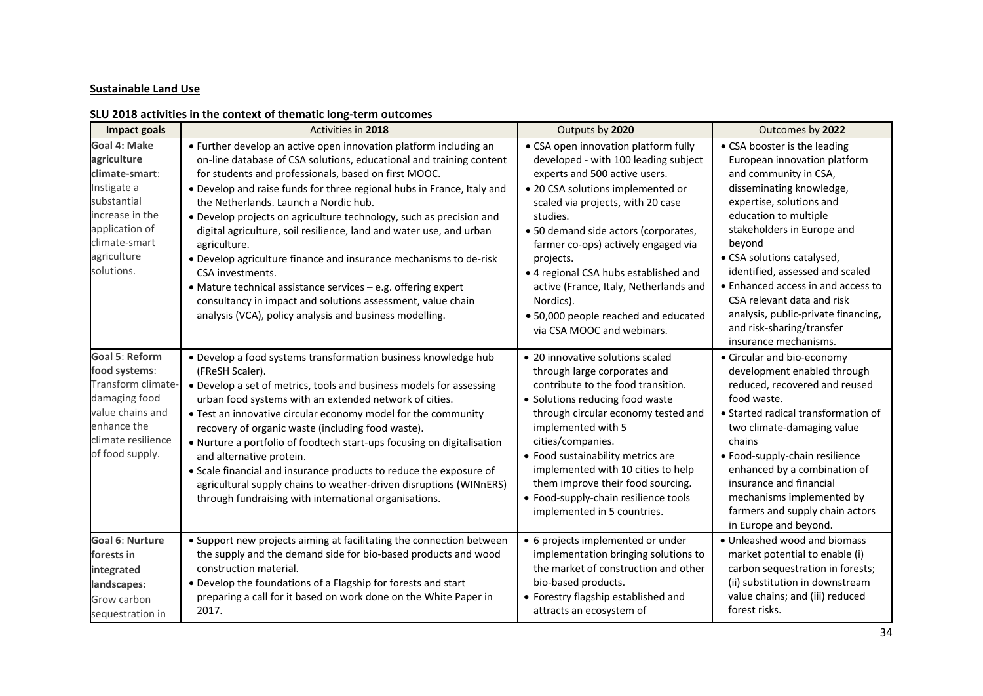#### **Sustainable Land Use**

## **SLU 2018 activities in the context of thematic long‐term outcomes**

| Impact goals                                                                                                                                                   | Activities in 2018                                                                                                                                                                                                                                                                                                                                                                                                                                                                                                                                                                                                                                                                                                                                                    | Outputs by 2020                                                                                                                                                                                                                                                                                                                                                                                                                                                       | Outcomes by 2022                                                                                                                                                                                                                                                                                                                                                                                                                                 |
|----------------------------------------------------------------------------------------------------------------------------------------------------------------|-----------------------------------------------------------------------------------------------------------------------------------------------------------------------------------------------------------------------------------------------------------------------------------------------------------------------------------------------------------------------------------------------------------------------------------------------------------------------------------------------------------------------------------------------------------------------------------------------------------------------------------------------------------------------------------------------------------------------------------------------------------------------|-----------------------------------------------------------------------------------------------------------------------------------------------------------------------------------------------------------------------------------------------------------------------------------------------------------------------------------------------------------------------------------------------------------------------------------------------------------------------|--------------------------------------------------------------------------------------------------------------------------------------------------------------------------------------------------------------------------------------------------------------------------------------------------------------------------------------------------------------------------------------------------------------------------------------------------|
| Goal 4: Make<br>agriculture<br>climate-smart:<br>Instigate a<br>substantial<br>increase in the<br>application of<br>climate-smart<br>agriculture<br>solutions. | • Further develop an active open innovation platform including an<br>on-line database of CSA solutions, educational and training content<br>for students and professionals, based on first MOOC.<br>• Develop and raise funds for three regional hubs in France, Italy and<br>the Netherlands. Launch a Nordic hub.<br>• Develop projects on agriculture technology, such as precision and<br>digital agriculture, soil resilience, land and water use, and urban<br>agriculture.<br>• Develop agriculture finance and insurance mechanisms to de-risk<br>CSA investments.<br>• Mature technical assistance services - e.g. offering expert<br>consultancy in impact and solutions assessment, value chain<br>analysis (VCA), policy analysis and business modelling. | • CSA open innovation platform fully<br>developed - with 100 leading subject<br>experts and 500 active users.<br>• 20 CSA solutions implemented or<br>scaled via projects, with 20 case<br>studies.<br>• 50 demand side actors (corporates,<br>farmer co-ops) actively engaged via<br>projects.<br>• 4 regional CSA hubs established and<br>active (France, Italy, Netherlands and<br>Nordics).<br>• 50,000 people reached and educated<br>via CSA MOOC and webinars. | • CSA booster is the leading<br>European innovation platform<br>and community in CSA,<br>disseminating knowledge,<br>expertise, solutions and<br>education to multiple<br>stakeholders in Europe and<br>beyond<br>• CSA solutions catalysed,<br>identified, assessed and scaled<br>• Enhanced access in and access to<br>CSA relevant data and risk<br>analysis, public-private financing,<br>and risk-sharing/transfer<br>insurance mechanisms. |
| <b>Goal 5: Reform</b><br>food systems:<br>Transform climate-<br>damaging food<br>value chains and<br>enhance the<br>climate resilience<br>of food supply.      | · Develop a food systems transformation business knowledge hub<br>(FReSH Scaler).<br>• Develop a set of metrics, tools and business models for assessing<br>urban food systems with an extended network of cities.<br>• Test an innovative circular economy model for the community<br>recovery of organic waste (including food waste).<br>• Nurture a portfolio of foodtech start-ups focusing on digitalisation<br>and alternative protein.<br>• Scale financial and insurance products to reduce the exposure of<br>agricultural supply chains to weather-driven disruptions (WINnERS)<br>through fundraising with international organisations.                                                                                                                   | • 20 innovative solutions scaled<br>through large corporates and<br>contribute to the food transition.<br>• Solutions reducing food waste<br>through circular economy tested and<br>implemented with 5<br>cities/companies.<br>• Food sustainability metrics are<br>implemented with 10 cities to help<br>them improve their food sourcing.<br>• Food-supply-chain resilience tools<br>implemented in 5 countries.                                                    | • Circular and bio-economy<br>development enabled through<br>reduced, recovered and reused<br>food waste.<br>• Started radical transformation of<br>two climate-damaging value<br>chains<br>· Food-supply-chain resilience<br>enhanced by a combination of<br>insurance and financial<br>mechanisms implemented by<br>farmers and supply chain actors<br>in Europe and beyond.                                                                   |
| <b>Goal 6: Nurture</b><br>forests in<br>integrated<br>landscapes:<br>Grow carbon<br>sequestration in                                                           | • Support new projects aiming at facilitating the connection between<br>the supply and the demand side for bio-based products and wood<br>construction material.<br>• Develop the foundations of a Flagship for forests and start<br>preparing a call for it based on work done on the White Paper in<br>2017.                                                                                                                                                                                                                                                                                                                                                                                                                                                        | • 6 projects implemented or under<br>implementation bringing solutions to<br>the market of construction and other<br>bio-based products.<br>• Forestry flagship established and<br>attracts an ecosystem of                                                                                                                                                                                                                                                           | • Unleashed wood and biomass<br>market potential to enable (i)<br>carbon sequestration in forests;<br>(ii) substitution in downstream<br>value chains; and (iii) reduced<br>forest risks.                                                                                                                                                                                                                                                        |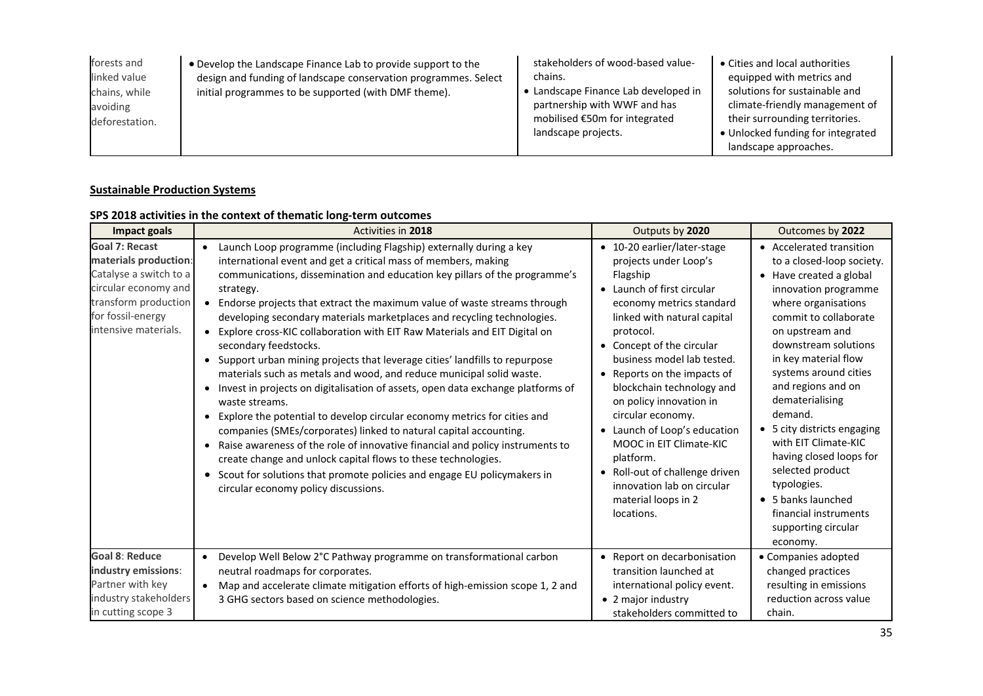| forests and    | • Develop the Landscape Finance Lab to provide support to the   | stakeholders of wood-based value-    | • Cities and local authorities    |
|----------------|-----------------------------------------------------------------|--------------------------------------|-----------------------------------|
| linked value   | design and funding of landscape conservation programmes. Select | chains.                              | equipped with metrics and         |
| chains, while  | initial programmes to be supported (with DMF theme).            | • Landscape Finance Lab developed in | solutions for sustainable and     |
| avoiding       |                                                                 | partnership with WWF and has         | climate-friendly management of    |
| deforestation. |                                                                 | mobilised €50m for integrated        | their surrounding territories.    |
|                |                                                                 | landscape projects.                  | • Unlocked funding for integrated |
|                |                                                                 |                                      | landscape approaches.             |

#### **Sustainable Production Systems**

## **SPS 2018 activities in the context of thematic long‐term outcomes**

| <b>Impact goals</b>                                                                                                                                                   | <b>Activities in 2018</b>                                                                                                                                                                                                                                                                                                                                                                                                                                                                                                                                                                                                                                                                                                                                                                                                                                                                                                                                                                                                                                                                                                                                                                                                      | Outputs by 2020                                                                                                                                                                                                                                                                                                                                                                                                                                                                                                            | Outcomes by 2022                                                                                                                                                                                                                                                                                                                                                                                                                                                                                                |
|-----------------------------------------------------------------------------------------------------------------------------------------------------------------------|--------------------------------------------------------------------------------------------------------------------------------------------------------------------------------------------------------------------------------------------------------------------------------------------------------------------------------------------------------------------------------------------------------------------------------------------------------------------------------------------------------------------------------------------------------------------------------------------------------------------------------------------------------------------------------------------------------------------------------------------------------------------------------------------------------------------------------------------------------------------------------------------------------------------------------------------------------------------------------------------------------------------------------------------------------------------------------------------------------------------------------------------------------------------------------------------------------------------------------|----------------------------------------------------------------------------------------------------------------------------------------------------------------------------------------------------------------------------------------------------------------------------------------------------------------------------------------------------------------------------------------------------------------------------------------------------------------------------------------------------------------------------|-----------------------------------------------------------------------------------------------------------------------------------------------------------------------------------------------------------------------------------------------------------------------------------------------------------------------------------------------------------------------------------------------------------------------------------------------------------------------------------------------------------------|
| <b>Goal 7: Recast</b><br>materials production:<br>Catalyse a switch to a<br>circular economy and<br>transform production<br>for fossil-energy<br>intensive materials. | Launch Loop programme (including Flagship) externally during a key<br>$\bullet$<br>international event and get a critical mass of members, making<br>communications, dissemination and education key pillars of the programme's<br>strategy.<br>• Endorse projects that extract the maximum value of waste streams through<br>developing secondary materials marketplaces and recycling technologies.<br>Explore cross-KIC collaboration with EIT Raw Materials and EIT Digital on<br>$\bullet$<br>secondary feedstocks.<br>• Support urban mining projects that leverage cities' landfills to repurpose<br>materials such as metals and wood, and reduce municipal solid waste.<br>• Invest in projects on digitalisation of assets, open data exchange platforms of<br>waste streams.<br>Explore the potential to develop circular economy metrics for cities and<br>$\bullet$<br>companies (SMEs/corporates) linked to natural capital accounting.<br>• Raise awareness of the role of innovative financial and policy instruments to<br>create change and unlock capital flows to these technologies.<br>• Scout for solutions that promote policies and engage EU policymakers in<br>circular economy policy discussions. | • 10-20 earlier/later-stage<br>projects under Loop's<br>Flagship<br>• Launch of first circular<br>economy metrics standard<br>linked with natural capital<br>protocol.<br>• Concept of the circular<br>business model lab tested.<br>• Reports on the impacts of<br>blockchain technology and<br>on policy innovation in<br>circular economy.<br>• Launch of Loop's education<br>MOOC in EIT Climate-KIC<br>platform.<br>• Roll-out of challenge driven<br>innovation lab on circular<br>material loops in 2<br>locations. | • Accelerated transition<br>to a closed-loop society.<br>• Have created a global<br>innovation programme<br>where organisations<br>commit to collaborate<br>on upstream and<br>downstream solutions<br>in key material flow<br>systems around cities<br>and regions and on<br>dematerialising<br>demand.<br>• 5 city districts engaging<br>with EIT Climate-KIC<br>having closed loops for<br>selected product<br>typologies.<br>• 5 banks launched<br>financial instruments<br>supporting circular<br>economy. |
| <b>Goal 8: Reduce</b><br>industry emissions:<br>Partner with key<br>industry stakeholders<br>in cutting scope 3                                                       | Develop Well Below 2°C Pathway programme on transformational carbon<br>$\bullet$<br>neutral roadmaps for corporates.<br>Map and accelerate climate mitigation efforts of high-emission scope 1, 2 and<br>$\bullet$<br>3 GHG sectors based on science methodologies.                                                                                                                                                                                                                                                                                                                                                                                                                                                                                                                                                                                                                                                                                                                                                                                                                                                                                                                                                            | • Report on decarbonisation<br>transition launched at<br>international policy event.<br>• 2 major industry<br>stakeholders committed to                                                                                                                                                                                                                                                                                                                                                                                    | • Companies adopted<br>changed practices<br>resulting in emissions<br>reduction across value<br>chain.                                                                                                                                                                                                                                                                                                                                                                                                          |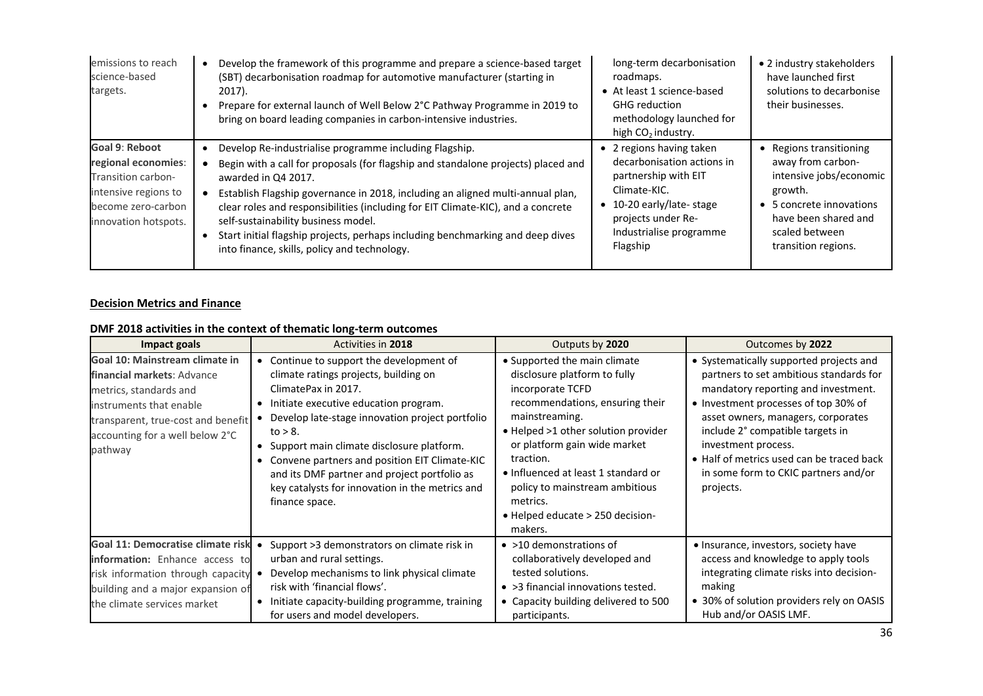| emissions to reach<br>science-based<br>targets.                                                                                          | Develop the framework of this programme and prepare a science-based target<br>(SBT) decarbonisation roadmap for automotive manufacturer (starting in<br>$2017$ ).<br>Prepare for external launch of Well Below 2°C Pathway Programme in 2019 to<br>bring on board leading companies in carbon-intensive industries.                                                                                                                                                                                               | long-term decarbonisation<br>roadmaps.<br>• At least 1 science-based<br><b>GHG</b> reduction<br>methodology launched for<br>high $CO2$ industry.                                        | • 2 industry stakeholders<br>have launched first<br>solutions to decarbonise<br>their businesses.                                                                               |
|------------------------------------------------------------------------------------------------------------------------------------------|-------------------------------------------------------------------------------------------------------------------------------------------------------------------------------------------------------------------------------------------------------------------------------------------------------------------------------------------------------------------------------------------------------------------------------------------------------------------------------------------------------------------|-----------------------------------------------------------------------------------------------------------------------------------------------------------------------------------------|---------------------------------------------------------------------------------------------------------------------------------------------------------------------------------|
| <b>Goal 9: Reboot</b><br>regional economies:<br>Transition carbon-<br>intensive regions to<br>become zero-carbon<br>innovation hotspots. | Develop Re-industrialise programme including Flagship.<br>Begin with a call for proposals (for flagship and standalone projects) placed and<br>awarded in Q4 2017.<br>Establish Flagship governance in 2018, including an aligned multi-annual plan,<br>clear roles and responsibilities (including for EIT Climate-KIC), and a concrete<br>self-sustainability business model.<br>Start initial flagship projects, perhaps including benchmarking and deep dives<br>into finance, skills, policy and technology. | • 2 regions having taken<br>decarbonisation actions in<br>partnership with EIT<br>Climate-KIC.<br>• 10-20 early/late-stage<br>projects under Re-<br>Industrialise programme<br>Flagship | • Regions transitioning<br>away from carbon-<br>intensive jobs/economic<br>growth.<br>• 5 concrete innovations<br>have been shared and<br>scaled between<br>transition regions. |

#### **Decision Metrics and Finance**

## **DMF 2018 activities in the context of thematic long‐term outcomes**

| Impact goals                                                                                                                                                                                          | Activities in 2018                                                                                                                                                                                                                                                                                                                                                                                                                            | Outputs by 2020                                                                                                                                                                                                                                                                                                                                                         | Outcomes by 2022                                                                                                                                                                                                                                                                                                                                                     |
|-------------------------------------------------------------------------------------------------------------------------------------------------------------------------------------------------------|-----------------------------------------------------------------------------------------------------------------------------------------------------------------------------------------------------------------------------------------------------------------------------------------------------------------------------------------------------------------------------------------------------------------------------------------------|-------------------------------------------------------------------------------------------------------------------------------------------------------------------------------------------------------------------------------------------------------------------------------------------------------------------------------------------------------------------------|----------------------------------------------------------------------------------------------------------------------------------------------------------------------------------------------------------------------------------------------------------------------------------------------------------------------------------------------------------------------|
| Goal 10: Mainstream climate in<br>financial markets: Advance<br>metrics, standards and<br>instruments that enable<br>transparent, true-cost and benefit<br>accounting for a well below 2°C<br>pathway | • Continue to support the development of<br>climate ratings projects, building on<br>ClimatePax in 2017.<br>• Initiate executive education program.<br>• Develop late-stage innovation project portfolio<br>to $> 8$ .<br>• Support main climate disclosure platform.<br>• Convene partners and position EIT Climate-KIC<br>and its DMF partner and project portfolio as<br>key catalysts for innovation in the metrics and<br>finance space. | • Supported the main climate<br>disclosure platform to fully<br>incorporate TCFD<br>recommendations, ensuring their<br>mainstreaming.<br>• Helped >1 other solution provider<br>or platform gain wide market<br>traction.<br>• Influenced at least 1 standard or<br>policy to mainstream ambitious<br>metrics.<br>$\bullet$ Helped educate $>$ 250 decision-<br>makers. | • Systematically supported projects and<br>partners to set ambitious standards for<br>mandatory reporting and investment.<br>• Investment processes of top 30% of<br>asset owners, managers, corporates<br>include 2° compatible targets in<br>investment process.<br>• Half of metrics used can be traced back<br>in some form to CKIC partners and/or<br>projects. |
| Goal 11: Democratise climate risk<br>information: Enhance access to<br>risk information through capacity<br>building and a major expansion of<br>the climate services market                          | Support >3 demonstrators on climate risk in<br>urban and rural settings.<br>Develop mechanisms to link physical climate<br>$\bullet$<br>risk with 'financial flows'.<br>• Initiate capacity-building programme, training<br>for users and model developers.                                                                                                                                                                                   | $\bullet$ >10 demonstrations of<br>collaboratively developed and<br>tested solutions.<br>• > 3 financial innovations tested.<br>• Capacity building delivered to 500<br>participants.                                                                                                                                                                                   | . Insurance, investors, society have<br>access and knowledge to apply tools<br>integrating climate risks into decision-<br>making<br>• 30% of solution providers rely on OASIS<br>Hub and/or OASIS LMF.                                                                                                                                                              |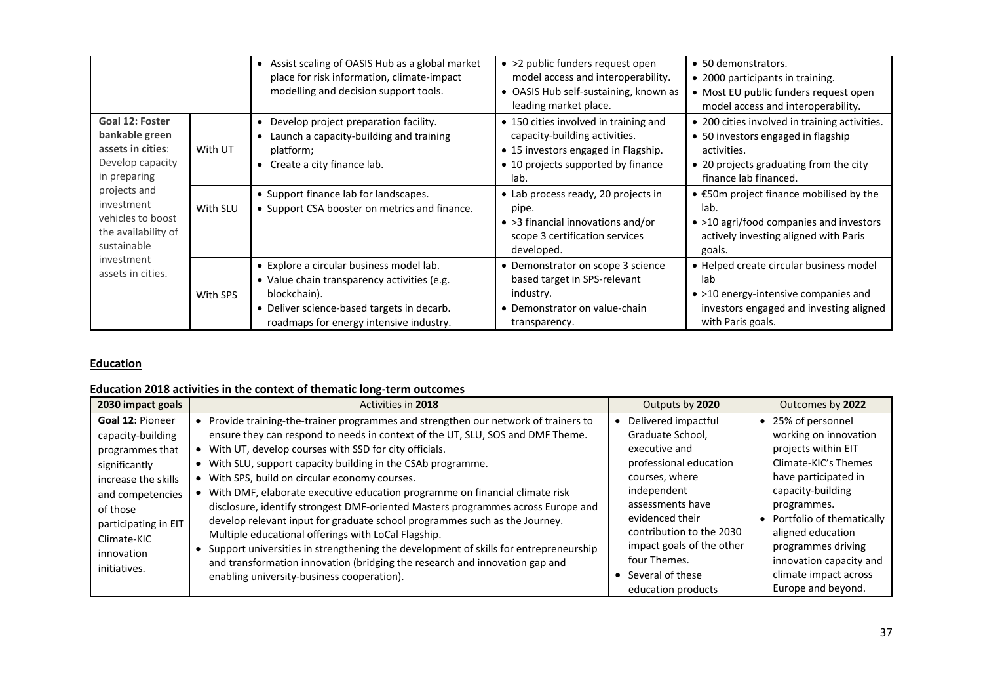|                                                                                                                                                                                                                        |          | • Assist scaling of OASIS Hub as a global market<br>place for risk information, climate-impact<br>modelling and decision support tools.                                                          | • >2 public funders request open<br>model access and interoperability.<br>• OASIS Hub self-sustaining, known as<br>leading market place.                    | • 50 demonstrators.<br>• 2000 participants in training.<br>• Most EU public funders request open<br>model access and interoperability.                                |
|------------------------------------------------------------------------------------------------------------------------------------------------------------------------------------------------------------------------|----------|--------------------------------------------------------------------------------------------------------------------------------------------------------------------------------------------------|-------------------------------------------------------------------------------------------------------------------------------------------------------------|-----------------------------------------------------------------------------------------------------------------------------------------------------------------------|
| Goal 12: Foster<br>bankable green<br>assets in cities:<br>Develop capacity<br>in preparing<br>projects and<br>investment<br>vehicles to boost<br>the availability of<br>sustainable<br>investment<br>assets in cities. | With UT  | • Develop project preparation facility.<br>• Launch a capacity-building and training<br>platform;<br>• Create a city finance lab.                                                                | • 150 cities involved in training and<br>capacity-building activities.<br>• 15 investors engaged in Flagship.<br>• 10 projects supported by finance<br>lab. | • 200 cities involved in training activities.<br>• 50 investors engaged in flagship<br>activities.<br>• 20 projects graduating from the city<br>finance lab financed. |
|                                                                                                                                                                                                                        | With SLU | • Support finance lab for landscapes.<br>• Support CSA booster on metrics and finance.                                                                                                           | • Lab process ready, 20 projects in<br>pipe.<br>$\bullet$ >3 financial innovations and/or<br>scope 3 certification services<br>developed.                   | $\bullet$ $\epsilon$ 50m project finance mobilised by the<br>lab.<br>• >10 agri/food companies and investors<br>actively investing aligned with Paris<br>goals.       |
|                                                                                                                                                                                                                        | With SPS | • Explore a circular business model lab.<br>• Value chain transparency activities (e.g.<br>blockchain).<br>• Deliver science-based targets in decarb.<br>roadmaps for energy intensive industry. | • Demonstrator on scope 3 science<br>based target in SPS-relevant<br>industry.<br>• Demonstrator on value-chain<br>transparency.                            | • Helped create circular business model<br>lab<br>• >10 energy-intensive companies and<br>investors engaged and investing aligned<br>with Paris goals.                |

#### **Education**

## **Education 2018 activities in the context of thematic long‐term outcomes**

| 2030 impact goals                                                                                                                                                                                            | Activities in 2018                                                                                                                                                                                                                                                                                                                                                                                                                                                                                                                                                                                                                                                                                                                                                                                                                                                                                | Outputs by 2020                                                                                                                                                                                                                                                                            | Outcomes by 2022                                                                                                                                                                                                                                                                                         |
|--------------------------------------------------------------------------------------------------------------------------------------------------------------------------------------------------------------|---------------------------------------------------------------------------------------------------------------------------------------------------------------------------------------------------------------------------------------------------------------------------------------------------------------------------------------------------------------------------------------------------------------------------------------------------------------------------------------------------------------------------------------------------------------------------------------------------------------------------------------------------------------------------------------------------------------------------------------------------------------------------------------------------------------------------------------------------------------------------------------------------|--------------------------------------------------------------------------------------------------------------------------------------------------------------------------------------------------------------------------------------------------------------------------------------------|----------------------------------------------------------------------------------------------------------------------------------------------------------------------------------------------------------------------------------------------------------------------------------------------------------|
| <b>Goal 12: Pioneer</b><br>capacity-building<br>programmes that<br>significantly<br>increase the skills<br>and competencies<br>of those<br>participating in EIT<br>Climate-KIC<br>innovation<br>initiatives. | Provide training-the-trainer programmes and strengthen our network of trainers to<br>$\bullet$<br>ensure they can respond to needs in context of the UT, SLU, SOS and DMF Theme.<br>With UT, develop courses with SSD for city officials.<br>$\bullet$<br>With SLU, support capacity building in the CSAb programme.<br>With SPS, build on circular economy courses.<br>With DMF, elaborate executive education programme on financial climate risk<br>disclosure, identify strongest DMF-oriented Masters programmes across Europe and<br>develop relevant input for graduate school programmes such as the Journey.<br>Multiple educational offerings with LoCal Flagship.<br>Support universities in strengthening the development of skills for entrepreneurship<br>and transformation innovation (bridging the research and innovation gap and<br>enabling university-business cooperation). | Delivered impactful<br>$\bullet$<br>Graduate School,<br>executive and<br>professional education<br>courses, where<br>independent<br>assessments have<br>evidenced their<br>contribution to the 2030<br>impact goals of the other<br>four Themes.<br>Several of these<br>education products | • 25% of personnel<br>working on innovation<br>projects within EIT<br>Climate-KIC's Themes<br>have participated in<br>capacity-building<br>programmes.<br>Portfolio of thematically<br>aligned education<br>programmes driving<br>innovation capacity and<br>climate impact across<br>Europe and beyond. |